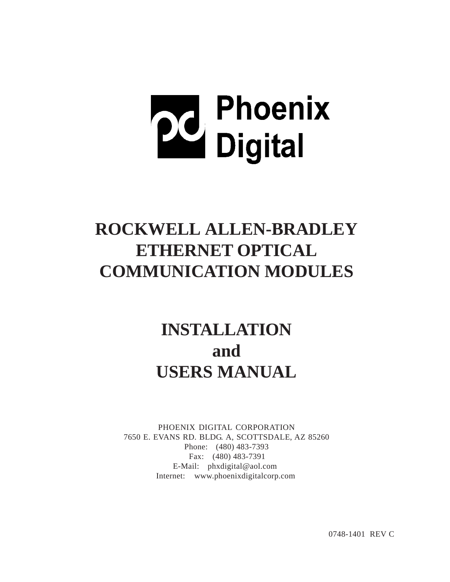# **22** Phoenix<br>Digital

# **ROCKWELL ALLEN-BRADLEY ETHERNET OPTICAL COMMUNICATION MODULES**

# **INSTALLATION and USERS MANUAL**

PHOENIX DIGITAL CORPORATION 7650 E. EVANS RD. BLDG. A, SCOTTSDALE, AZ 85260 Phone: (480) 483-7393 Fax: (480) 483-7391 E-Mail: phxdigital@aol.com Internet: www.phoenixdigitalcorp.com

0748-1401 REV C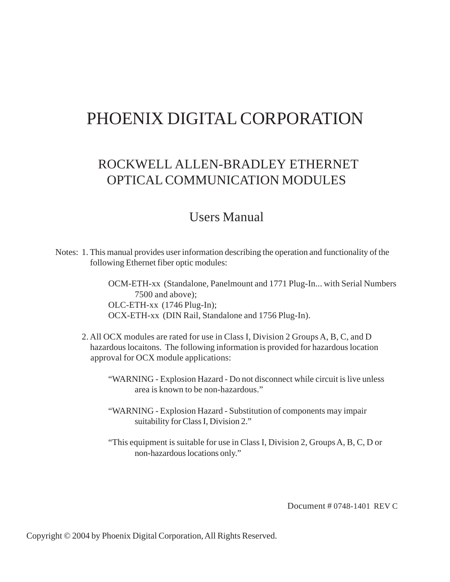# PHOENIX DIGITAL CORPORATION

# ROCKWELL ALLEN-BRADLEY ETHERNET OPTICAL COMMUNICATION MODULES

# Users Manual

Notes: 1. This manual provides user information describing the operation and functionality of the following Ethernet fiber optic modules:

> OCM-ETH-xx (Standalone, Panelmount and 1771 Plug-In... with Serial Numbers 7500 and above); OLC-ETH-xx (1746 Plug-In); OCX-ETH-xx (DIN Rail, Standalone and 1756 Plug-In).

- 2. All OCX modules are rated for use in Class I, Division 2 Groups A, B, C, and D hazardous locaitons. The following information is provided for hazardous location approval for OCX module applications:
	- "WARNING Explosion Hazard Do not disconnect while circuit is live unless area is known to be non-hazardous."
	- "WARNING Explosion Hazard Substitution of components may impair suitability for Class I, Division 2."
	- "This equipment is suitable for use in Class I, Division 2, Groups A, B, C, D or non-hazardous locations only."

Document # 0748-1401 REV C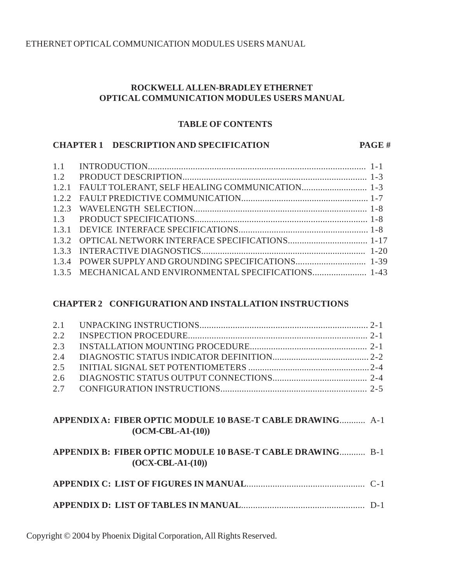# **ROCKWELL ALLEN-BRADLEY ETHERNET OPTICAL COMMUNICATION MODULES USERS MANUAL**

#### **TABLE OF CONTENTS**

#### **CHAPTER 1 DESCRIPTION AND SPECIFICATION PAGE #**

| 1.3.5 MECHANICAL AND ENVIRONMENTAL SPECIFICATIONS 1-43 |  |
|--------------------------------------------------------|--|

# **CHAPTER 2 CONFIGURATION AND INSTALLATION INSTRUCTIONS**

# **APPENDIX A: FIBER OPTIC MODULE 10 BASE-T CABLE DRAWING**........... A-1 **(OCM-CBL-A1-(10))**

# **APPENDIX B: FIBER OPTIC MODULE 10 BASE-T CABLE DRAWING**........... B-1 **(OCX-CBL-A1-(10))**

|--|--|--|

**APPENDIX D: LIST OF TABLES IN MANUAL**.................................................... D-1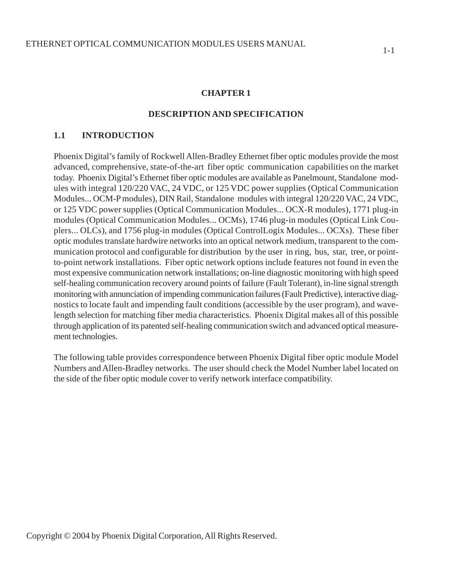#### **CHAPTER 1**

#### **DESCRIPTION AND SPECIFICATION**

#### **1.1 INTRODUCTION**

Phoenix Digital's family of Rockwell Allen-Bradley Ethernet fiber optic modules provide the most advanced, comprehensive, state-of-the-art fiber optic communication capabilities on the market today. Phoenix Digital's Ethernet fiber optic modules are available as Panelmount, Standalone modules with integral 120/220 VAC, 24 VDC, or 125 VDC power supplies (Optical Communication Modules... OCM-P modules), DIN Rail, Standalone modules with integral 120/220 VAC, 24 VDC, or 125 VDC power supplies (Optical Communication Modules... OCX-R modules), 1771 plug-in modules (Optical Communication Modules... OCMs), 1746 plug-in modules (Optical Link Couplers... OLCs), and 1756 plug-in modules (Optical ControlLogix Modules... OCXs). These fiber optic modules translate hardwire networks into an optical network medium, transparent to the communication protocol and configurable for distribution by the user in ring, bus, star, tree, or pointto-point network installations. Fiber optic network options include features not found in even the most expensive communication network installations; on-line diagnostic monitoring with high speed self-healing communication recovery around points of failure (Fault Tolerant), in-line signal strength monitoring with annunciation of impending communication failures (Fault Predictive), interactive diagnostics to locate fault and impending fault conditions (accessible by the user program), and wavelength selection for matching fiber media characteristics. Phoenix Digital makes all of this possible through application of its patented self-healing communication switch and advanced optical measurement technologies.

The following table provides correspondence between Phoenix Digital fiber optic module Model Numbers and Allen-Bradley networks. The user should check the Model Number label located on the side of the fiber optic module cover to verify network interface compatibility.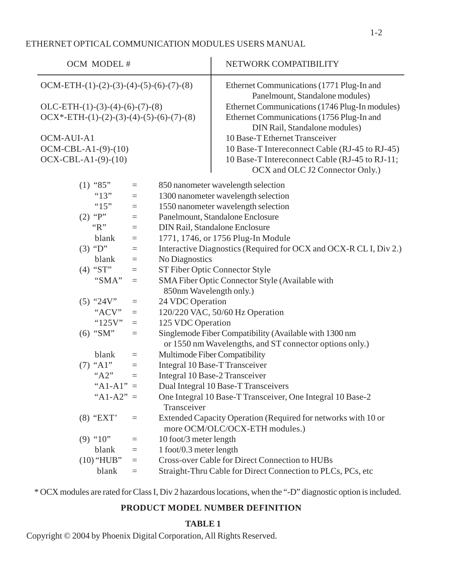#### ETHERNET OPTICAL COMMUNICATION MODULES USERS MANUAL

| OCM MODEL #                                                            | NETWORK COMPATIBILITY                                                                                             |
|------------------------------------------------------------------------|-------------------------------------------------------------------------------------------------------------------|
| OCM-ETH- $(1)$ - $(2)$ - $(3)$ - $(4)$ - $(5)$ - $(6)$ - $(7)$ - $(8)$ | Ethernet Communications (1771 Plug-In and<br>Panelmount, Standalone modules)                                      |
| $OLC-ETH-(1)-(3)-(4)-(6)-(7)-(8)$                                      | Ethernet Communications (1746 Plug-In modules)                                                                    |
| $OCX*-ETH-(1)-(2)-(3)-(4)-(5)-(6)-(7)-(8)$                             | Ethernet Communications (1756 Plug-In and<br>DIN Rail, Standalone modules)                                        |
| OCM-AUI-A1                                                             | 10 Base-T Ethernet Transceiver                                                                                    |
| OCM-CBL-A1-(9)-(10)                                                    | 10 Base-T Intereconnect Cable (RJ-45 to RJ-45)                                                                    |
| $OCX-CBL-A1-(9)-(10)$                                                  | 10 Base-T Intereconnect Cable (RJ-45 to RJ-11;                                                                    |
|                                                                        | OCX and OLC J2 Connector Only.)                                                                                   |
| $(1)$ "85"<br>$\equiv$                                                 | 850 nanometer wavelength selection                                                                                |
| "13"<br>$\equiv$                                                       | 1300 nanometer wavelength selection                                                                               |
| " $15"$<br>$\equiv$                                                    | 1550 nanometer wavelength selection                                                                               |
| (2) " $P$ "<br>$\quad \  \  =$                                         | Panelmount, Standalone Enclosure                                                                                  |
| " $R$ "<br>$=$                                                         | DIN Rail, Standalone Enclosure                                                                                    |
| blank<br>$=$                                                           | 1771, 1746, or 1756 Plug-In Module                                                                                |
| $(3)$ "D"<br>$\equiv$                                                  | Interactive Diagnostics (Required for OCX and OCX-R CL I, Div 2.)                                                 |
| blank<br>$\equiv$                                                      | No Diagnostics                                                                                                    |
| $(4)$ "ST"<br>$=$                                                      | ST Fiber Optic Connector Style                                                                                    |
| "SMA"<br>$\qquad \qquad =\qquad$                                       | SMA Fiber Optic Connector Style (Available with                                                                   |
|                                                                        | 850nm Wavelength only.)                                                                                           |
| $(5)$ "24V"<br>$\equiv$                                                | 24 VDC Operation                                                                                                  |
| "ACV"<br>$\equiv$                                                      | 120/220 VAC, 50/60 Hz Operation                                                                                   |
| " $125V$ "<br>$\equiv$                                                 | 125 VDC Operation                                                                                                 |
| $(6)$ "SM"<br>$\equiv$                                                 | Singlemode Fiber Compatibility (Available with 1300 nm<br>or 1550 nm Wavelengths, and ST connector options only.) |
| blank<br>$\qquad \qquad =\qquad$                                       | Multimode Fiber Compatibility                                                                                     |
| $(7)$ "A1"<br>$\equiv$                                                 | Integral 10 Base-T Transceiver                                                                                    |
| " $A2"$<br>$\equiv$                                                    | Integral 10 Base-2 Transceiver                                                                                    |
| " $A1-A1" =$                                                           | Dual Integral 10 Base-T Transceivers                                                                              |
| " $A1-A2" =$                                                           | One Integral 10 Base-T Transceiver, One Integral 10 Base-2                                                        |
|                                                                        | Transceiver                                                                                                       |
| $(8)$ "EXT"<br>$\equiv$                                                | Extended Capacity Operation (Required for networks with 10 or<br>more OCM/OLC/OCX-ETH modules.)                   |
| $(9)$ "10"<br>$\equiv$                                                 | 10 foot/3 meter length                                                                                            |
| blank<br>$\equiv$                                                      | 1 foot/0.3 meter length                                                                                           |
| $(10)$ "HUB"<br>$\equiv$                                               | Cross-over Cable for Direct Connection to HUBs                                                                    |
| blank<br>$=$                                                           | Straight-Thru Cable for Direct Connection to PLCs, PCs, etc                                                       |

\* OCX modules are rated for Class I, Div 2 hazardous locations, when the "-D" diagnostic option is included.

# **PRODUCT MODEL NUMBER DEFINITION**

# **TABLE 1**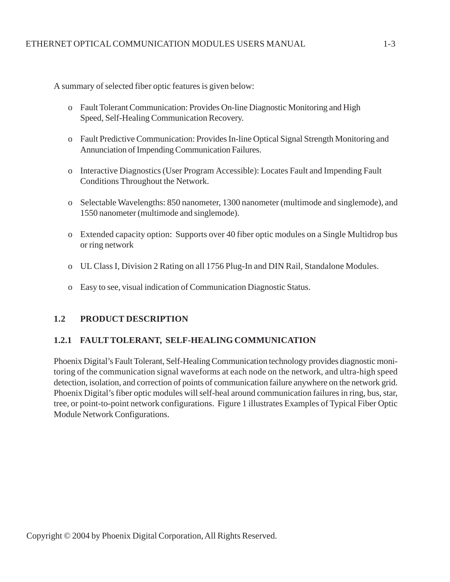A summary of selected fiber optic features is given below:

- o Fault Tolerant Communication: Provides On-line Diagnostic Monitoring and High Speed, Self-Healing Communication Recovery.
- o Fault Predictive Communication: Provides In-line Optical Signal Strength Monitoring and Annunciation of Impending Communication Failures.
- o Interactive Diagnostics (User Program Accessible): Locates Fault and Impending Fault Conditions Throughout the Network.
- o Selectable Wavelengths: 850 nanometer, 1300 nanometer (multimode and singlemode), and 1550 nanometer (multimode and singlemode).
- o Extended capacity option: Supports over 40 fiber optic modules on a Single Multidrop bus or ring network
- o UL Class I, Division 2 Rating on all 1756 Plug-In and DIN Rail, Standalone Modules.
- o Easy to see, visual indication of Communication Diagnostic Status.

#### **1.2 PRODUCT DESCRIPTION**

#### **1.2.1 FAULT TOLERANT, SELF-HEALING COMMUNICATION**

Phoenix Digital's Fault Tolerant, Self-Healing Communication technology provides diagnostic monitoring of the communication signal waveforms at each node on the network, and ultra-high speed detection, isolation, and correction of points of communication failure anywhere on the network grid. Phoenix Digital's fiber optic modules will self-heal around communication failures in ring, bus, star, tree, or point-to-point network configurations. Figure 1 illustrates Examples of Typical Fiber Optic Module Network Configurations.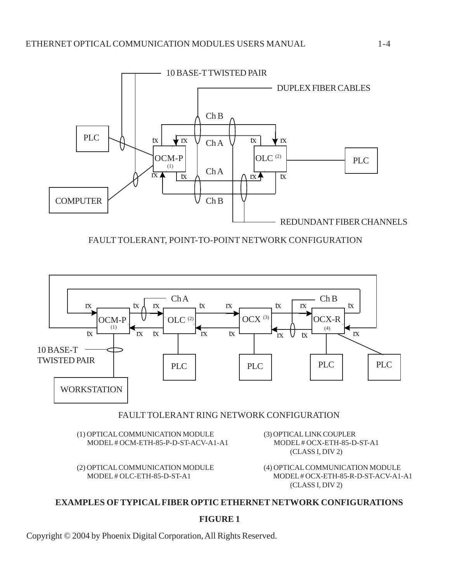

FAULT TOLERANT, POINT-TO-POINT NETWORK CONFIGURATION



#### FAULT TOLERANT RING NETWORK CONFIGURATION

(1) OPTICAL COMMUNICATION MODULE (3) OPTICAL LINK COUPLER MODEL # OCM-ETH-85-P-D-ST-ACV-A1-A1 MODEL # OCX-ETH-85-D-ST-A1

(2) OPTICAL COMMUNICATION MODULE (4) OPTICAL COMMUNICATION MODULE

(CLASS I, DIV 2)

 MODEL # OLC-ETH-85-D-ST-A1 MODEL # OCX-ETH-85-R-D-ST-ACV-A1-A1 (CLASS I, DIV 2)

#### **EXAMPLES OF TYPICAL FIBER OPTIC ETHERNET NETWORK CONFIGURATIONS**

#### **FIGURE 1**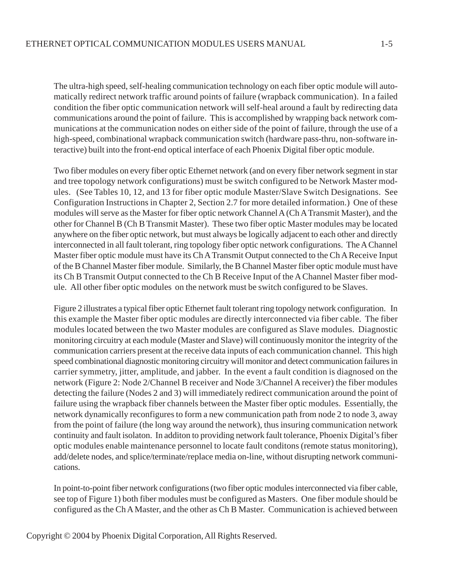The ultra-high speed, self-healing communication technology on each fiber optic module will automatically redirect network traffic around points of failure (wrapback communication). In a failed condition the fiber optic communication network will self-heal around a fault by redirecting data communications around the point of failure. This is accomplished by wrapping back network communications at the communication nodes on either side of the point of failure, through the use of a high-speed, combinational wrapback communication switch (hardware pass-thru, non-software interactive) built into the front-end optical interface of each Phoenix Digital fiber optic module.

Two fiber modules on every fiber optic Ethernet network (and on every fiber network segment in star and tree topology network configurations) must be switch configured to be Network Master modules. (See Tables 10, 12, and 13 for fiber optic module Master/Slave Switch Designations. See Configuration Instructions in Chapter 2, Section 2.7 for more detailed information.) One of these modules will serve as the Master for fiber optic network Channel A (Ch A Transmit Master), and the other for Channel B (Ch B Transmit Master). These two fiber optic Master modules may be located anywhere on the fiber optic network, but must always be logically adjacent to each other and directly interconnected in all fault tolerant, ring topology fiber optic network configurations. The A Channel Master fiber optic module must have its Ch A Transmit Output connected to the Ch A Receive Input of the B Channel Master fiber module. Similarly, the B Channel Master fiber optic module must have its Ch B Transmit Output connected to the Ch B Receive Input of the A Channel Master fiber module. All other fiber optic modules on the network must be switch configured to be Slaves.

Figure 2 illustrates a typical fiber optic Ethernet fault tolerant ring topology network configuration. In this example the Master fiber optic modules are directly interconnected via fiber cable. The fiber modules located between the two Master modules are configured as Slave modules. Diagnostic monitoring circuitry at each module (Master and Slave) will continuously monitor the integrity of the communication carriers present at the receive data inputs of each communication channel. This high speed combinational diagnostic monitoring circuitry will monitor and detect communication failures in carrier symmetry, jitter, amplitude, and jabber. In the event a fault condition is diagnosed on the network (Figure 2: Node 2/Channel B receiver and Node 3/Channel A receiver) the fiber modules detecting the failure (Nodes 2 and 3) will immediately redirect communication around the point of failure using the wrapback fiber channels between the Master fiber optic modules. Essentially, the network dynamically reconfigures to form a new communication path from node 2 to node 3, away from the point of failure (the long way around the network), thus insuring communication network continuity and fault isolaton. In additon to providing network fault tolerance, Phoenix Digital's fiber optic modules enable maintenance personnel to locate fault conditons (remote status monitoring), add/delete nodes, and splice/terminate/replace media on-line, without disrupting network communications.

In point-to-point fiber network configurations (two fiber optic modules interconnected via fiber cable, see top of Figure 1) both fiber modules must be configured as Masters. One fiber module should be configured as the Ch A Master, and the other as Ch B Master. Communication is achieved between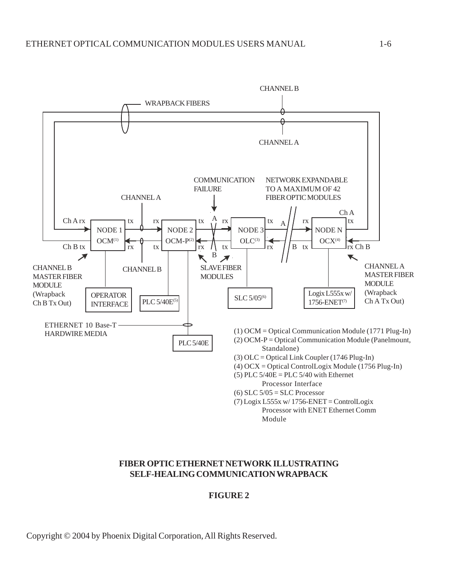

#### **FIBER OPTIC ETHERNET NETWORK ILLUSTRATING SELF-HEALING COMMUNICATION WRAPBACK**

#### **FIGURE 2**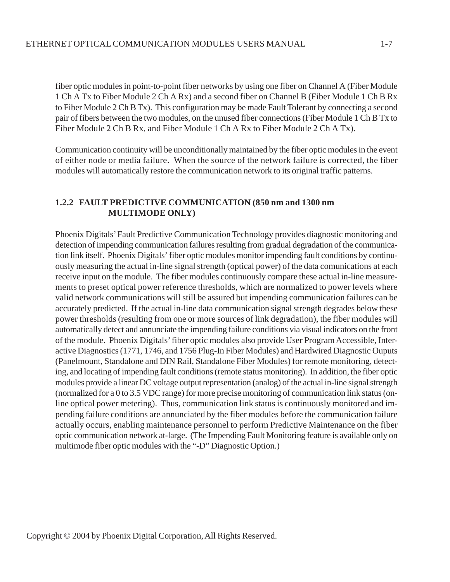fiber optic modules in point-to-point fiber networks by using one fiber on Channel A (Fiber Module 1 Ch A Tx to Fiber Module 2 Ch A Rx) and a second fiber on Channel B (Fiber Module 1 Ch B Rx to Fiber Module 2 Ch B Tx). This configuration may be made Fault Tolerant by connecting a second pair of fibers between the two modules, on the unused fiber connections (Fiber Module 1 Ch B Tx to Fiber Module 2 Ch B Rx, and Fiber Module 1 Ch A Rx to Fiber Module 2 Ch A Tx).

Communication continuity will be unconditionally maintained by the fiber optic modules in the event of either node or media failure. When the source of the network failure is corrected, the fiber modules will automatically restore the communication network to its original traffic patterns.

# **1.2.2 FAULT PREDICTIVE COMMUNICATION (850 nm and 1300 nm MULTIMODE ONLY)**

Phoenix Digitals' Fault Predictive Communication Technology provides diagnostic monitoring and detection of impending communication failures resulting from gradual degradation of the communication link itself. Phoenix Digitals' fiber optic modules monitor impending fault conditions by continuously measuring the actual in-line signal strength (optical power) of the data comunications at each receive input on the module. The fiber modules continuously compare these actual in-line measurements to preset optical power reference thresholds, which are normalized to power levels where valid network communications will still be assured but impending communication failures can be accurately predicted. If the actual in-line data communication signal strength degrades below these power thresholds (resulting from one or more sources of link degradation), the fiber modules will automatically detect and annunciate the impending failure conditions via visual indicators on the front of the module. Phoenix Digitals' fiber optic modules also provide User Program Accessible, Interactive Diagnostics (1771, 1746, and 1756 Plug-In Fiber Modules) and Hardwired Diagnostic Ouputs (Panelmount, Standalone and DIN Rail, Standalone Fiber Modules) for remote monitoring, detecting, and locating of impending fault conditions (remote status monitoring). In addition, the fiber optic modules provide a linear DC voltage output representation (analog) of the actual in-line signal strength (normalized for a 0 to 3.5 VDC range) for more precise monitoring of communication link status (online optical power metering). Thus, communication link status is continuously monitored and impending failure conditions are annunciated by the fiber modules before the communication failure actually occurs, enabling maintenance personnel to perform Predictive Maintenance on the fiber optic communication network at-large. (The Impending Fault Monitoring feature is available only on multimode fiber optic modules with the "-D" Diagnostic Option.)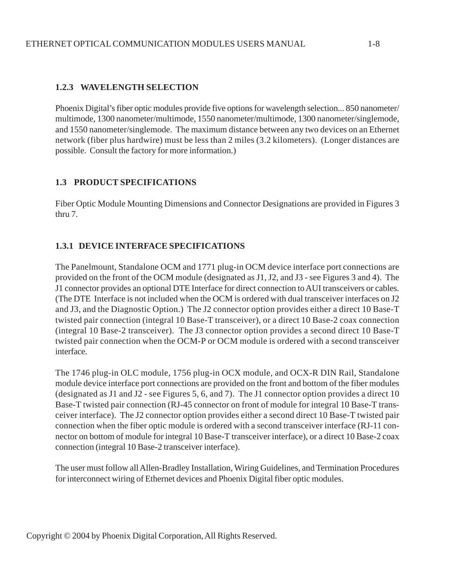# **1.2.3 WAVELENGTH SELECTION**

Phoenix Digital's fiber optic modules provide five options for wavelength selection... 850 nanometer/ multimode, 1300 nanometer/multimode, 1550 nanometer/multimode, 1300 nanometer/singlemode, and 1550 nanometer/singlemode. The maximum distance between any two devices on an Ethernet network (fiber plus hardwire) must be less than 2 miles (3.2 kilometers). (Longer distances are possible. Consult the factory for more information.)

# **1.3 PRODUCT SPECIFICATIONS**

Fiber Optic Module Mounting Dimensions and Connector Designations are provided in Figures 3 thru 7.

# **1.3.1 DEVICE INTERFACE SPECIFICATIONS**

The Panelmount, Standalone OCM and 1771 plug-in OCM device interface port connections are provided on the front of the OCM module (designated as J1, J2, and J3 - see Figures 3 and 4). The J1 connector provides an optional DTE Interface for direct connection to AUI transceivers or cables. (The DTE Interface is not included when the OCM is ordered with dual transceiver interfaces on J2 and J3, and the Diagnostic Option.) The J2 connector option provides either a direct 10 Base-T twisted pair connection (integral 10 Base-T transceiver), or a direct 10 Base-2 coax connection (integral 10 Base-2 transceiver). The J3 connector option provides a second direct 10 Base-T twisted pair connection when the OCM-P or OCM module is ordered with a second transceiver interface.

The 1746 plug-in OLC module, 1756 plug-in OCX module, and OCX-R DIN Rail, Standalone module device interface port connections are provided on the front and bottom of the fiber modules (designated as J1 and J2 - see Figures 5, 6, and 7). The J1 connector option provides a direct 10 Base-T twisted pair connection (RJ-45 connector on front of module for integral 10 Base-T transceiver interface). The J2 connector option provides either a second direct 10 Base-T twisted pair connection when the fiber optic module is ordered with a second transceiver interface (RJ-11 connector on bottom of module for integral 10 Base-T transceiver interface), or a direct 10 Base-2 coax connection (integral 10 Base-2 transceiver interface).

The user must follow all Allen-Bradley Installation, Wiring Guidelines, and Termination Procedures for interconnect wiring of Ethernet devices and Phoenix Digital fiber optic modules.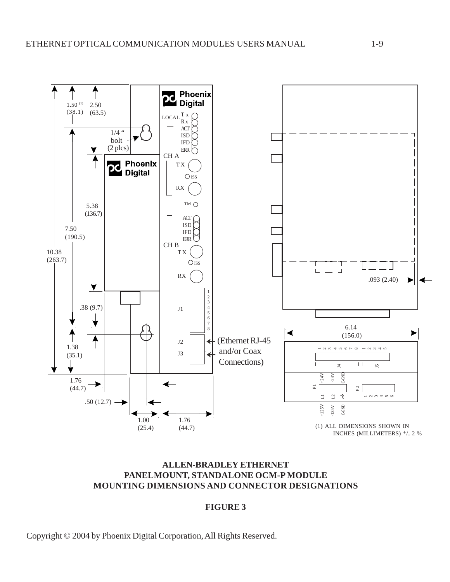

# **ALLEN-BRADLEY ETHERNET PANELMOUNT, STANDALONE OCM-P MODULE MOUNTING DIMENSIONS AND CONNECTOR DESIGNATIONS**

# **FIGURE 3**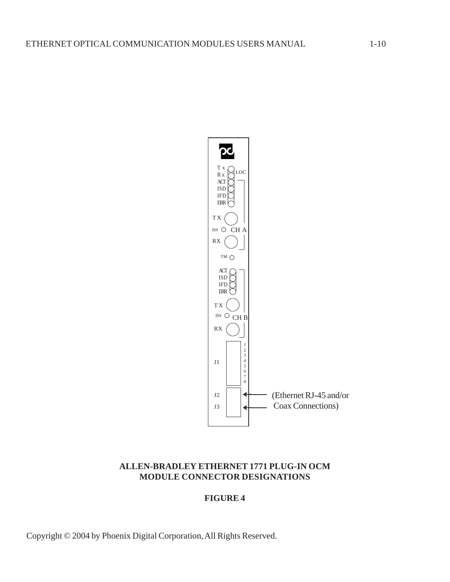

# **ALLEN-BRADLEY ETHERNET 1771 PLUG-IN OCM MODULE CONNECTOR DESIGNATIONS**

# **FIGURE 4**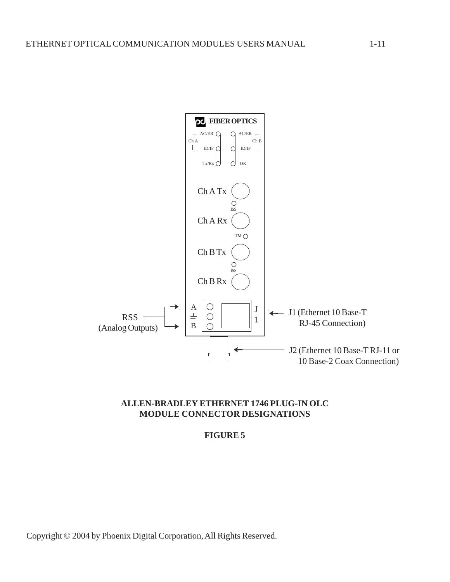

#### **ALLEN-BRADLEY ETHERNET 1746 PLUG-IN OLC MODULE CONNECTOR DESIGNATIONS**

#### **FIGURE 5**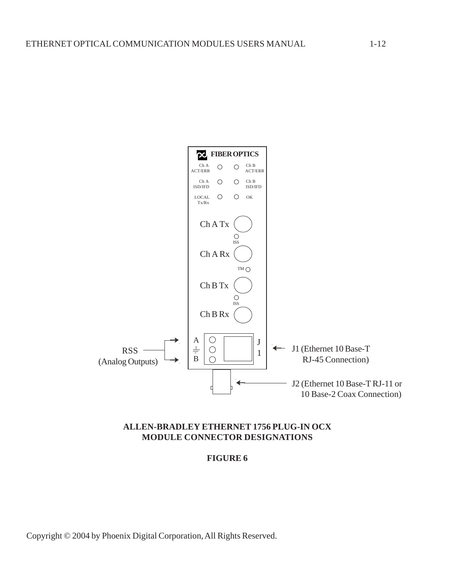

# **ALLEN-BRADLEY ETHERNET 1756 PLUG-IN OCX MODULE CONNECTOR DESIGNATIONS**

**FIGURE 6**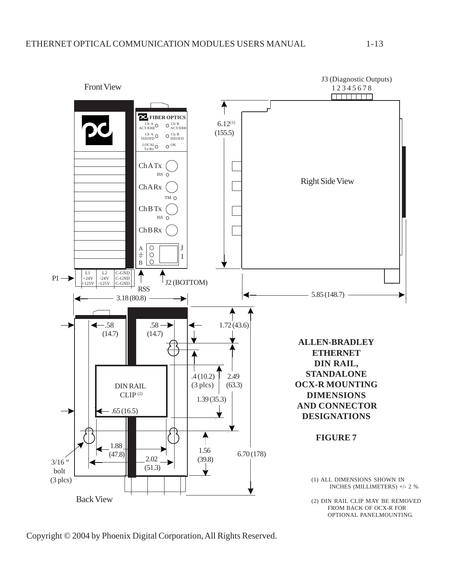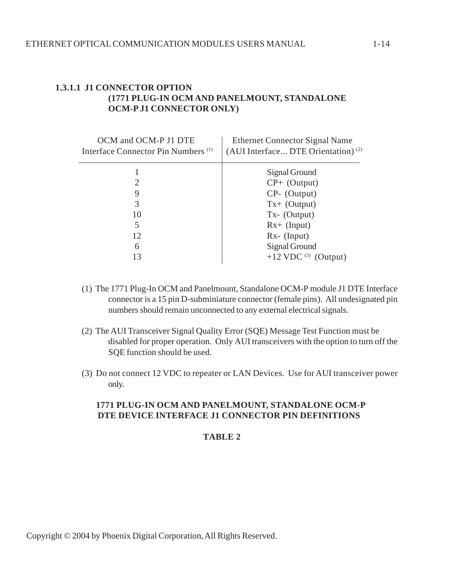# **1.3.1.1 J1 CONNECTOR OPTION (1771 PLUG-IN OCM AND PANELMOUNT, STANDALONE OCM-P J1 CONNECTOR ONLY)**

| OCM and OCM-P J1 DTE<br>Interface Connector Pin Numbers <sup>(1)</sup> | <b>Ethernet Connector Signal Name</b><br>(AUI Interface DTE Orientation) <sup>(2)</sup> |
|------------------------------------------------------------------------|-----------------------------------------------------------------------------------------|
|                                                                        | Signal Ground                                                                           |
|                                                                        | $CP+$ (Output)                                                                          |
| 9                                                                      | $CP$ - (Output)                                                                         |
| 3                                                                      | $Tx + (Output)$                                                                         |
| 10                                                                     | $Tx - (Output)$                                                                         |
| 5                                                                      | $Rx+ (Input)$                                                                           |
| 12                                                                     | $Rx$ - (Input)                                                                          |
| 6                                                                      | Signal Ground                                                                           |
| 13                                                                     | $+12$ VDC $^{(3)}$<br>(Output)                                                          |

- (1) The 1771 Plug-In OCM and Panelmount, Standalone OCM-P module J1 DTE Interface connector is a 15 pin D-subminiature connector (female pins). All undesignated pin numbers should remain unconnected to any external electrical signals.
- (2) The AUI Transceiver Signal Quality Error (SQE) Message Test Function must be disabled for proper operation. Only AUI transceivers with the option to turn off the SQE function should be used.
- (3) Do not connect 12 VDC to repeater or LAN Devices. Use for AUI transceiver power only.

# **1771 PLUG-IN OCM AND PANELMOUNT, STANDALONE OCM-P DTE DEVICE INTERFACE J1 CONNECTOR PIN DEFINITIONS**

#### **TABLE 2**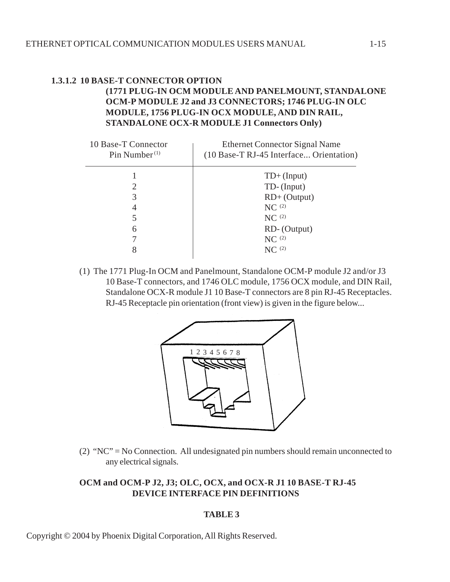#### **1.3.1.2 10 BASE-T CONNECTOR OPTION (1771 PLUG-IN OCM MODULE AND PANELMOUNT, STANDALONE OCM-P MODULE J2 and J3 CONNECTORS; 1746 PLUG-IN OLC MODULE, 1756 PLUG-IN OCX MODULE, AND DIN RAIL, STANDALONE OCX-R MODULE J1 Connectors Only)**

| 10 Base-T Connector<br>Pin Number $(1)$ | <b>Ethernet Connector Signal Name</b><br>(10 Base-T RJ-45 Interface Orientation) |
|-----------------------------------------|----------------------------------------------------------------------------------|
|                                         | $TD+ (Input)$                                                                    |
| 2                                       | TD-(Input)                                                                       |
| 3                                       | $RD+$ (Output)                                                                   |
| 4                                       | NC <sup>(2)</sup>                                                                |
| 5                                       | $NC^{(2)}$                                                                       |
| 6                                       | RD- (Output)                                                                     |
|                                         | NC <sup>(2)</sup>                                                                |
| 8                                       | $NC^{(2)}$                                                                       |
|                                         |                                                                                  |

(1) The 1771 Plug-In OCM and Panelmount, Standalone OCM-P module J2 and/or J3 10 Base-T connectors, and 1746 OLC module, 1756 OCX module, and DIN Rail, Standalone OCX-R module J1 10 Base-T connectors are 8 pin RJ-45 Receptacles. RJ-45 Receptacle pin orientation (front view) is given in the figure below...



(2) "NC" = No Connection. All undesignated pin numbers should remain unconnected to any electrical signals.

# **OCM and OCM-P J2, J3; OLC, OCX, and OCX-R J1 10 BASE-T RJ-45 DEVICE INTERFACE PIN DEFINITIONS**

#### **TABLE 3**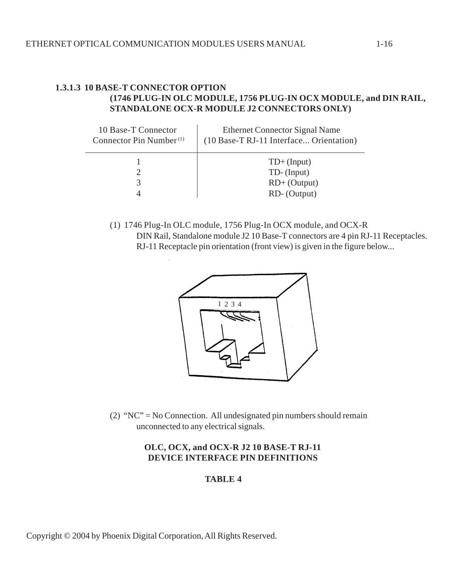# **1.3.1.3 10 BASE-T CONNECTOR OPTION (1746 PLUG-IN OLC MODULE, 1756 PLUG-IN OCX MODULE, and DIN RAIL, STANDALONE OCX-R MODULE J2 CONNECTORS ONLY)**

| 10 Base-T Connector<br>Connector Pin Number <sup><math>(1)</math></sup> | <b>Ethernet Connector Signal Name</b><br>(10 Base-T RJ-11 Interface Orientation) |
|-------------------------------------------------------------------------|----------------------------------------------------------------------------------|
|                                                                         | $TD+ (Input)$                                                                    |
|                                                                         | TD-(Input)                                                                       |
|                                                                         | $RD+$ (Output)                                                                   |
|                                                                         | RD- (Output)                                                                     |

(1) 1746 Plug-In OLC module, 1756 Plug-In OCX module, and OCX-R DIN Rail, Standalone module J2 10 Base-T connectors are 4 pin RJ-11 Receptacles. RJ-11 Receptacle pin orientation (front view) is given in the figure below...



(2) "NC" = No Connection. All undesignated pin numbers should remain unconnected to any electrical signals.

# **OLC, OCX, and OCX-R J2 10 BASE-T RJ-11 DEVICE INTERFACE PIN DEFINITIONS**

#### **TABLE 4**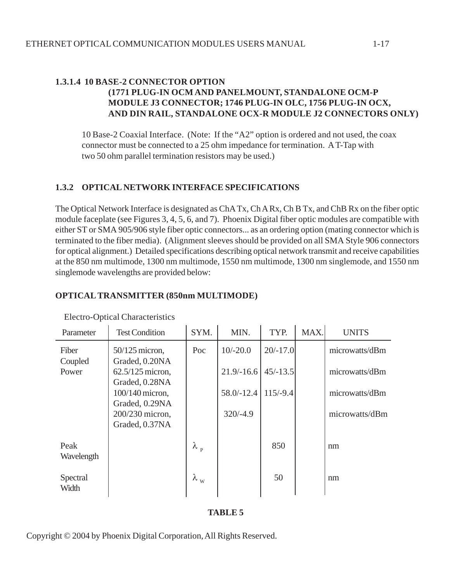# **1.3.1.4 10 BASE-2 CONNECTOR OPTION (1771 PLUG-IN OCM AND PANELMOUNT, STANDALONE OCM-P MODULE J3 CONNECTOR; 1746 PLUG-IN OLC, 1756 PLUG-IN OCX, AND DIN RAIL, STANDALONE OCX-R MODULE J2 CONNECTORS ONLY)**

10 Base-2 Coaxial Interface. (Note: If the "A2" option is ordered and not used, the coax connector must be connected to a 25 ohm impedance for termination. A T-Tap with two 50 ohm parallel termination resistors may be used.)

# **1.3.2 OPTICAL NETWORK INTERFACE SPECIFICATIONS**

The Optical Network Interface is designated as ChA Tx, Ch A Rx, Ch B Tx, and ChB Rx on the fiber optic module faceplate (see Figures 3, 4, 5, 6, and 7). Phoenix Digital fiber optic modules are compatible with either ST or SMA 905/906 style fiber optic connectors... as an ordering option (mating connector which is terminated to the fiber media). (Alignment sleeves should be provided on all SMA Style 906 connectors for optical alignment.) Detailed specifications describing optical network transmit and receive capabilities at the 850 nm multimode, 1300 nm multimode, 1550 nm multimode, 1300 nm singlemode, and 1550 nm singlemode wavelengths are provided below:

# **OPTICAL TRANSMITTER (850nm MULTIMODE)**

| Parameter          | <b>Test Condition</b>                                  | SYM.              | MIN.         | TYP.       | MAX. | <b>UNITS</b>   |
|--------------------|--------------------------------------------------------|-------------------|--------------|------------|------|----------------|
| Fiber              | $50/125$ micron,                                       | Poc               | $10/-20.0$   | $20/-17.0$ |      | microwatts/dBm |
| Coupled<br>Power   | Graded, 0.20NA<br>$62.5/125$ micron,<br>Graded, 0.28NA |                   | $21.9/-16.6$ | $45/-13.5$ |      | microwatts/dBm |
|                    | 100/140 micron,                                        |                   | $58.0/-12.4$ | $115/-9.4$ |      | microwatts/dBm |
|                    | Graded, 0.29NA<br>200/230 micron,<br>Graded, 0.37NA    |                   | $320/-4.9$   |            |      | microwatts/dBm |
| Peak<br>Wavelength |                                                        | $\lambda_{\rm p}$ |              | 850        |      | nm             |
| Spectral<br>Width  |                                                        | $\lambda_{\rm w}$ |              | 50         |      | nm             |

#### Electro-Optical Characteristics

#### **TABLE 5**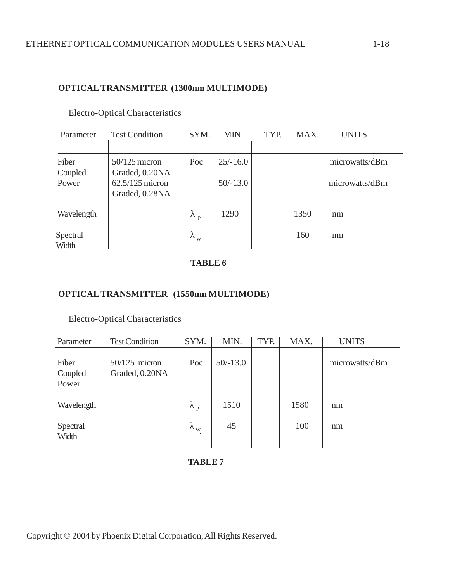# **OPTICAL TRANSMITTER (1300nm MULTIMODE)**

| Parameter                 | <b>Test Condition</b>                                                    | SYM.              | MIN.                     | TYP. | MAX. | <b>UNITS</b>                     |
|---------------------------|--------------------------------------------------------------------------|-------------------|--------------------------|------|------|----------------------------------|
| Fiber<br>Coupled<br>Power | $50/125$ micron<br>Graded, 0.20NA<br>$62.5/125$ micron<br>Graded, 0.28NA | Poc               | $25/-16.0$<br>$50/-13.0$ |      |      | microwatts/dBm<br>microwatts/dBm |
| Wavelength                |                                                                          | $\lambda_{\rm p}$ | 1290                     |      | 1350 | nm                               |
| Spectral<br>Width         |                                                                          | $\lambda_{\rm w}$ |                          |      | 160  | nm                               |

Electro-Optical Characteristics

**TABLE 6**

# **OPTICAL TRANSMITTER (1550nm MULTIMODE)**

#### Electro-Optical Characteristics

| Parameter                 | <b>Test Condition</b>             | SYM.              | MIN.       | TYP. | MAX. | <b>UNITS</b>   |
|---------------------------|-----------------------------------|-------------------|------------|------|------|----------------|
| Fiber<br>Coupled<br>Power | $50/125$ micron<br>Graded, 0.20NA | Poc               | $50/-13.0$ |      |      | microwatts/dBm |
| Wavelength                |                                   | $\lambda_{\rm p}$ | 1510       |      | 1580 | nm             |
| Spectral<br>Width         |                                   | $\lambda_{\rm w}$ | 45         |      | 100  | nm             |

**TABLE 7**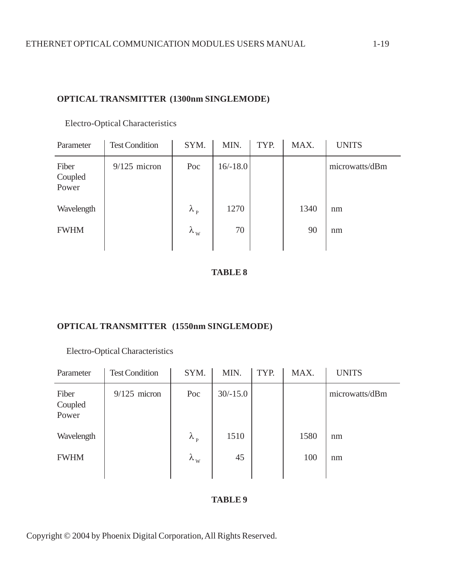# **OPTICAL TRANSMITTER (1300nm SINGLEMODE)**

| <b>Test Condition</b> | SYM.              | MIN.       | TYP. | MAX. | <b>UNITS</b>   |
|-----------------------|-------------------|------------|------|------|----------------|
| $9/125$ micron        | Poc               | $16/-18.0$ |      |      | microwatts/dBm |
|                       | $\lambda_{\rm p}$ | 1270       |      | 1340 | nm             |
|                       | $\lambda_{\rm w}$ | 70         |      | 90   | nm             |
|                       |                   |            |      |      |                |

Electro-Optical Characteristics

#### **TABLE 8**

# **OPTICAL TRANSMITTER (1550nm SINGLEMODE)**

# Electro-Optical Characteristics

| Parameter                 | <b>Test Condition</b> | SYM.              | MIN.       | TYP. | MAX. | <b>UNITS</b>   |
|---------------------------|-----------------------|-------------------|------------|------|------|----------------|
| Fiber<br>Coupled<br>Power | $9/125$ micron        | Poc               | $30/-15.0$ |      |      | microwatts/dBm |
| Wavelength                |                       | $\lambda_{\rm p}$ | 1510       |      | 1580 | nm             |
| <b>FWHM</b>               |                       | $\lambda_{\rm w}$ | 45         |      | 100  | nm             |

#### **TABLE 9**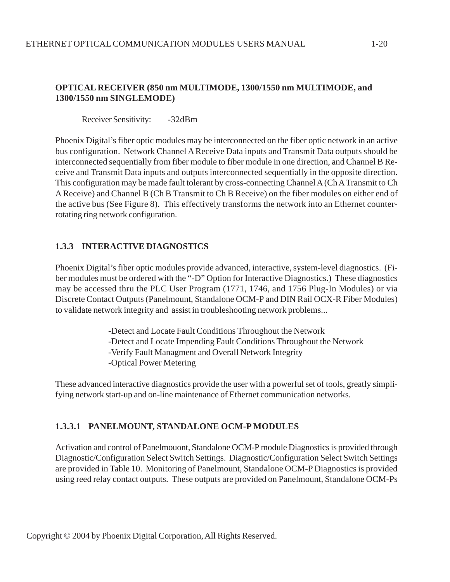# **OPTICAL RECEIVER (850 nm MULTIMODE, 1300/1550 nm MULTIMODE, and 1300/1550 nm SINGLEMODE)**

Receiver Sensitivity: -32dBm

Phoenix Digital's fiber optic modules may be interconnected on the fiber optic network in an active bus configuration. Network Channel A Receive Data inputs and Transmit Data outputs should be interconnected sequentially from fiber module to fiber module in one direction, and Channel B Receive and Transmit Data inputs and outputs interconnected sequentially in the opposite direction. This configuration may be made fault tolerant by cross-connecting Channel A (Ch A Transmit to Ch A Receive) and Channel B (Ch B Transmit to Ch B Receive) on the fiber modules on either end of the active bus (See Figure 8). This effectively transforms the network into an Ethernet counterrotating ring network configuration.

# **1.3.3 INTERACTIVE DIAGNOSTICS**

Phoenix Digital's fiber optic modules provide advanced, interactive, system-level diagnostics. (Fiber modules must be ordered with the "-D" Option for Interactive Diagnostics.) These diagnostics may be accessed thru the PLC User Program (1771, 1746, and 1756 Plug-In Modules) or via Discrete Contact Outputs (Panelmount, Standalone OCM-P and DIN Rail OCX-R Fiber Modules) to validate network integrity and assist in troubleshooting network problems...

- -Detect and Locate Fault Conditions Throughout the Network -Detect and Locate Impending Fault Conditions Throughout the Network -Verify Fault Managment and Overall Network Integrity
- -Optical Power Metering

These advanced interactive diagnostics provide the user with a powerful set of tools, greatly simplifying network start-up and on-line maintenance of Ethernet communication networks.

# **1.3.3.1 PANELMOUNT, STANDALONE OCM-P MODULES**

Activation and control of Panelmouont, Standalone OCM-P module Diagnostics is provided through Diagnostic/Configuration Select Switch Settings. Diagnostic/Configuration Select Switch Settings are provided in Table 10. Monitoring of Panelmount, Standalone OCM-P Diagnostics is provided using reed relay contact outputs. These outputs are provided on Panelmount, Standalone OCM-Ps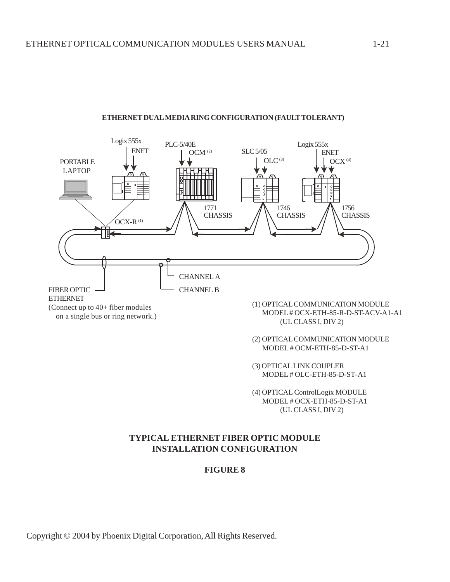

#### **ETHERNET DUAL MEDIA RING CONFIGURATION (FAULT TOLERANT)**

(2) OPTICAL COMMUNICATION MODULE MODEL # OCM-ETH-85-D-ST-A1

(3) OPTICAL LINK COUPLER MODEL # OLC-ETH-85-D-ST-A1

(4) OPTICAL ControlLogix MODULE MODEL # OCX-ETH-85-D-ST-A1 (UL CLASS I, DIV 2)

#### **TYPICAL ETHERNET FIBER OPTIC MODULE INSTALLATION CONFIGURATION**

#### **FIGURE 8**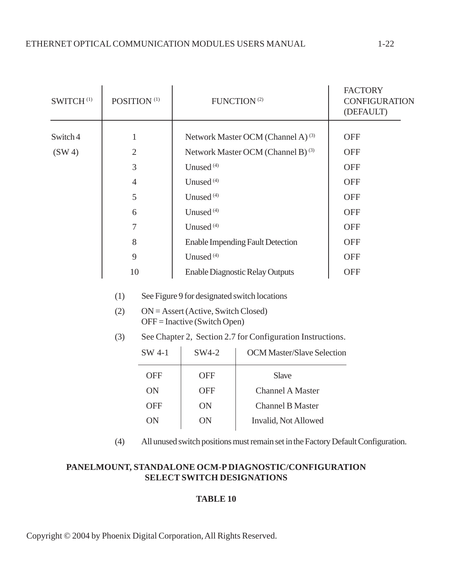| SWITCH <sup>(1)</sup> | POSITION <sup>(1)</sup> |            | FUNCTION <sup>(2)</sup>                                    |                                               | <b>FACTORY</b><br><b>CONFIGURATION</b><br>(DEFAULT) |
|-----------------------|-------------------------|------------|------------------------------------------------------------|-----------------------------------------------|-----------------------------------------------------|
| Switch 4              | $\mathbf{1}$            |            |                                                            | <b>OFF</b>                                    |                                                     |
|                       |                         |            |                                                            | Network Master OCM (Channel A) <sup>(3)</sup> |                                                     |
| (SW 4)                | $\overline{2}$          |            |                                                            | Network Master OCM (Channel B) <sup>(3)</sup> | <b>OFF</b>                                          |
|                       | 3                       |            | Unused <sup>(4)</sup>                                      |                                               | <b>OFF</b>                                          |
|                       | $\overline{4}$          |            | Unused <sup>(4)</sup>                                      | <b>OFF</b>                                    |                                                     |
|                       | 5                       |            | Unused <sup>(4)</sup>                                      | <b>OFF</b>                                    |                                                     |
|                       | 6                       |            | Unused <sup>(4)</sup>                                      |                                               | <b>OFF</b>                                          |
|                       | 7                       |            | Unused <sup>(4)</sup>                                      | <b>OFF</b>                                    |                                                     |
|                       | 8                       |            | <b>Enable Impending Fault Detection</b>                    | <b>OFF</b>                                    |                                                     |
|                       | 9                       |            | Unused <sup>(4)</sup>                                      | <b>OFF</b>                                    |                                                     |
| 10                    |                         |            | <b>Enable Diagnostic Relay Outputs</b>                     | <b>OFF</b>                                    |                                                     |
|                       | (1)                     |            | See Figure 9 for designated switch locations               |                                               |                                                     |
|                       | (2)                     |            | $ON =$ Assert (Active, Switch Closed)                      |                                               |                                                     |
|                       |                         |            | $OFF = Inactive$ (Switch Open)                             |                                               |                                                     |
|                       | (3)                     |            | See Chapter 2, Section 2.7 for Configuration Instructions. |                                               |                                                     |
|                       |                         | SW 4-1     | SW4-2                                                      | <b>OCM Master/Slave Selection</b>             |                                                     |
|                       |                         | <b>OFF</b> | <b>OFF</b>                                                 | Slave                                         |                                                     |
|                       |                         | ON         | <b>OFF</b>                                                 | <b>Channel A Master</b>                       |                                                     |
|                       |                         | <b>OFF</b> | ON                                                         | <b>Channel B Master</b>                       |                                                     |
|                       |                         | ON         | ON                                                         | Invalid, Not Allowed                          |                                                     |
|                       |                         |            |                                                            |                                               |                                                     |

(4) All unused switch positions must remain set in the Factory Default Configuration.

# **PANELMOUNT, STANDALONE OCM-P DIAGNOSTIC/CONFIGURATION SELECT SWITCH DESIGNATIONS**

# **TABLE 10**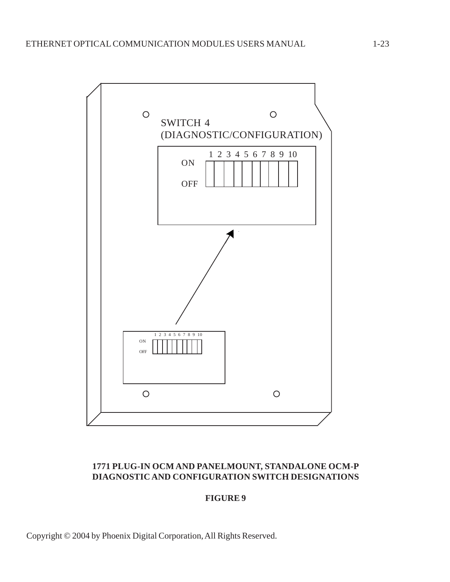

# **1771 PLUG-IN OCM AND PANELMOUNT, STANDALONE OCM-P DIAGNOSTIC AND CONFIGURATION SWITCH DESIGNATIONS**

#### **FIGURE 9**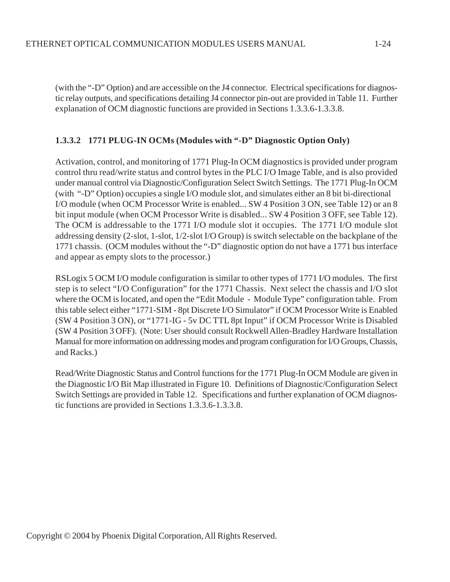(with the "-D" Option) and are accessible on the J4 connector. Electrical specifications for diagnostic relay outputs, and specifications detailing J4 connector pin-out are provided in Table 11. Further explanation of OCM diagnostic functions are provided in Sections 1.3.3.6-1.3.3.8.

#### **1.3.3.2 1771 PLUG-IN OCMs (Modules with "-D" Diagnostic Option Only)**

Activation, control, and monitoring of 1771 Plug-In OCM diagnostics is provided under program control thru read/write status and control bytes in the PLC I/O Image Table, and is also provided under manual control via Diagnostic/Configuration Select Switch Settings. The 1771 Plug-In OCM (with "-D" Option) occupies a single I/O module slot, and simulates either an 8 bit bi-directional I/O module (when OCM Processor Write is enabled... SW 4 Position 3 ON, see Table 12) or an 8 bit input module (when OCM Processor Write is disabled... SW 4 Position 3 OFF, see Table 12). The OCM is addressable to the 1771 I/O module slot it occupies. The 1771 I/O module slot addressing density (2-slot, 1-slot, 1/2-slot I/O Group) is switch selectable on the backplane of the 1771 chassis. (OCM modules without the "-D" diagnostic option do not have a 1771 bus interface and appear as empty slots to the processor.)

RSLogix 5 OCM I/O module configuration is similar to other types of 1771 I/O modules. The first step is to select "I/O Configuration" for the 1771 Chassis. Next select the chassis and I/O slot where the OCM is located, and open the "Edit Module - Module Type" configuration table. From this table select either "1771-SIM - 8pt Discrete I/O Simulator" if OCM Processor Write is Enabled (SW 4 Position 3 ON), or "1771-IG - 5v DC TTL 8pt Input" if OCM Processor Write is Disabled (SW 4 Position 3 OFF). (Note: User should consult Rockwell Allen-Bradley Hardware Installation Manual for more information on addressing modes and program configuration for I/O Groups, Chassis, and Racks.)

Read/Write Diagnostic Status and Control functions for the 1771 Plug-In OCM Module are given in the Diagnostic I/O Bit Map illustrated in Figure 10. Definitions of Diagnostic/Configuration Select Switch Settings are provided in Table 12. Specifications and further explanation of OCM diagnostic functions are provided in Sections 1.3.3.6-1.3.3.8.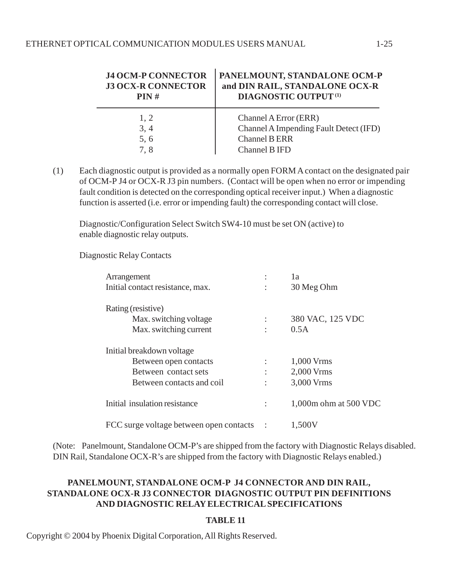| <b>J4 OCM-P CONNECTOR</b><br><b>J3 OCX-R CONNECTOR</b><br>PIN# | PANELMOUNT, STANDALONE OCM-P<br>and DIN RAIL, STANDALONE OCX-R<br><b>DIAGNOSTIC OUTPUT (1)</b> |
|----------------------------------------------------------------|------------------------------------------------------------------------------------------------|
| 1, 2                                                           | Channel A Error (ERR)                                                                          |
| 3, 4                                                           | Channel A Impending Fault Detect (IFD)                                                         |
| 5,6                                                            | <b>Channel B ERR</b>                                                                           |
| 7.8                                                            | Channel B IFD                                                                                  |

(1) Each diagnostic output is provided as a normally open FORM A contact on the designated pair of OCM-P J4 or OCX-R J3 pin numbers. (Contact will be open when no error or impending fault condition is detected on the corresponding optical receiver input.) When a diagnostic function is asserted (i.e. error or impending fault) the corresponding contact will close.

Diagnostic/Configuration Select Switch SW4-10 must be set ON (active) to enable diagnostic relay outputs.

Diagnostic Relay Contacts

| Arrangement                             | 1a                    |
|-----------------------------------------|-----------------------|
| Initial contact resistance, max.        | 30 Meg Ohm            |
| Rating (resistive)                      |                       |
| Max. switching voltage                  | 380 VAC, 125 VDC      |
| Max. switching current                  | 0.5A                  |
| Initial breakdown voltage               |                       |
| Between open contacts                   | 1,000 Vrms            |
| Between contact sets                    | 2,000 Vrms            |
| Between contacts and coil               | 3,000 Vrms            |
| Initial insulation resistance           | 1,000m ohm at 500 VDC |
| FCC surge voltage between open contacts | 1,500V                |

(Note: Panelmount, Standalone OCM-P's are shipped from the factory with Diagnostic Relays disabled. DIN Rail, Standalone OCX-R's are shipped from the factory with Diagnostic Relays enabled.)

# **PANELMOUNT, STANDALONE OCM-P J4 CONNECTOR AND DIN RAIL, STANDALONE OCX-R J3 CONNECTOR DIAGNOSTIC OUTPUT PIN DEFINITIONS AND DIAGNOSTIC RELAY ELECTRICAL SPECIFICATIONS**

#### **TABLE 11**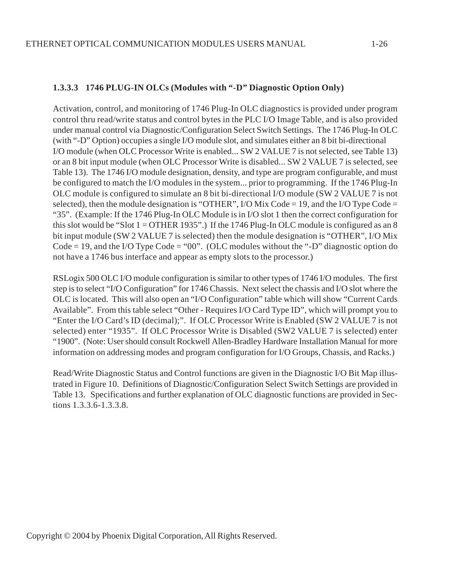#### **1.3.3.3 1746 PLUG-IN OLCs (Modules with "-D" Diagnostic Option Only)**

Activation, control, and monitoring of 1746 Plug-In OLC diagnostics is provided under program control thru read/write status and control bytes in the PLC I/O Image Table, and is also provided under manual control via Diagnostic/Configuration Select Switch Settings. The 1746 Plug-In OLC (with "-D" Option) occupies a single I/O module slot, and simulates either an 8 bit bi-directional I/O module (when OLC Processor Write is enabled... SW 2 VALUE 7 is not selected, see Table 13) or an 8 bit input module (when OLC Processor Write is disabled... SW 2 VALUE 7 is selected, see Table 13). The 1746 I/O module designation, density, and type are program configurable, and must be configured to match the I/O modules in the system... prior to programming. If the 1746 Plug-In OLC module is configured to simulate an 8 bit bi-directional I/O module (SW 2 VALUE 7 is not selected), then the module designation is "OTHER",  $I/O$  Mix Code = 19, and the  $I/O$  Type Code = "35". (Example: If the 1746 Plug-In OLC Module is in I/O slot 1 then the correct configuration for this slot would be "Slot  $1 =$  OTHER 1935".) If the 1746 Plug-In OLC module is configured as an 8 bit input module (SW 2 VALUE 7 is selected) then the module designation is "OTHER", I/O Mix Code  $= 19$ , and the I/O Type Code  $=$  "00". (OLC modules without the "-D" diagnostic option do not have a 1746 bus interface and appear as empty slots to the processor.)

RSLogix 500 OLC I/O module configuration is similar to other types of 1746 I/O modules. The first step is to select "I/O Configuration" for 1746 Chassis. Next select the chassis and I/O slot where the OLC is located. This will also open an "I/O Configuration" table which will show "Current Cards Available". From this table select "Other - Requires I/O Card Type ID", which will prompt you to "Enter the I/O Card's ID (decimal);". If OLC Processor Write is Enabled (SW 2 VALUE 7 is not selected) enter "1935". If OLC Processor Write is Disabled (SW2 VALUE 7 is selected) enter "1900". (Note: User should consult Rockwell Allen-Bradley Hardware Installation Manual for more information on addressing modes and program configuration for I/O Groups, Chassis, and Racks.)

Read/Write Diagnostic Status and Control functions are given in the Diagnostic I/O Bit Map illustrated in Figure 10. Definitions of Diagnostic/Configuration Select Switch Settings are provided in Table 13. Specifications and further explanation of OLC diagnostic functions are provided in Sections 1.3.3.6-1.3.3.8.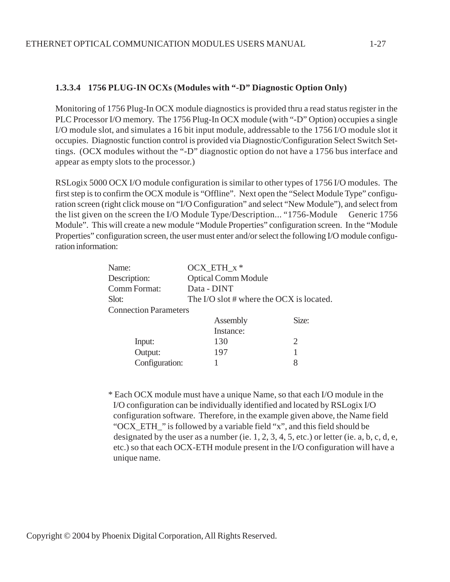# **1.3.3.4 1756 PLUG-IN OCXs (Modules with "-D" Diagnostic Option Only)**

Monitoring of 1756 Plug-In OCX module diagnostics is provided thru a read status register in the PLC Processor I/O memory. The 1756 Plug-In OCX module (with "-D" Option) occupies a single I/O module slot, and simulates a 16 bit input module, addressable to the 1756 I/O module slot it occupies. Diagnostic function control is provided via Diagnostic/Configuration Select Switch Settings. (OCX modules without the "-D" diagnostic option do not have a 1756 bus interface and appear as empty slots to the processor.)

RSLogix 5000 OCX I/O module configuration is similar to other types of 1756 I/O modules. The first step is to confirm the OCX module is "Offline". Next open the "Select Module Type" configuration screen (right click mouse on "I/O Configuration" and select "New Module"), and select from the list given on the screen the I/O Module Type/Description... "1756-Module Generic 1756 Module". This will create a new module "Module Properties" configuration screen. In the "Module Properties" configuration screen, the user must enter and/or select the following I/O module configuration information:

| Name:                        | OCX ETH $x^*$                            |       |
|------------------------------|------------------------------------------|-------|
| Description:                 | <b>Optical Comm Module</b>               |       |
| Comm Format:                 | Data - DINT                              |       |
| Slot:                        | The I/O slot # where the OCX is located. |       |
| <b>Connection Parameters</b> |                                          |       |
|                              | Assembly                                 | Size: |
|                              | $\Gamma$ natonaa:                        |       |

|                | Instance: |  |
|----------------|-----------|--|
| Input:         | 130       |  |
| Output:        | 197       |  |
| Configuration: |           |  |

\* Each OCX module must have a unique Name, so that each I/O module in the I/O configuration can be individually identified and located by RSLogix I/O configuration software. Therefore, in the example given above, the Name field "OCX\_ETH\_" is followed by a variable field "x", and this field should be designated by the user as a number (ie.  $1, 2, 3, 4, 5$ , etc.) or letter (ie. a, b, c, d, e, etc.) so that each OCX-ETH module present in the I/O configuration will have a unique name.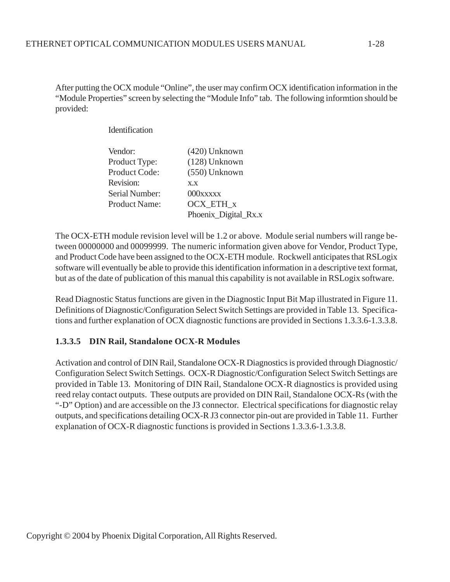After putting the OCX module "Online", the user may confirm OCX identification information in the "Module Properties" screen by selecting the "Module Info" tab. The following informtion should be provided:

**Identification** 

| Vendor:              | (420) Unknown        |
|----------------------|----------------------|
| Product Type:        | (128) Unknown        |
| <b>Product Code:</b> | (550) Unknown        |
| Revision:            | X.X                  |
| Serial Number:       | 000xxxxx             |
| <b>Product Name:</b> | OCX_ETH_x            |
|                      | Phoenix_Digital_Rx.x |

The OCX-ETH module revision level will be 1.2 or above. Module serial numbers will range between 00000000 and 00099999. The numeric information given above for Vendor, Product Type, and Product Code have been assigned to the OCX-ETH module. Rockwell anticipates that RSLogix software will eventually be able to provide this identification information in a descriptive text format, but as of the date of publication of this manual this capability is not available in RSLogix software.

Read Diagnostic Status functions are given in the Diagnostic Input Bit Map illustrated in Figure 11. Definitions of Diagnostic/Configuration Select Switch Settings are provided in Table 13. Specifications and further explanation of OCX diagnostic functions are provided in Sections 1.3.3.6-1.3.3.8.

#### **1.3.3.5 DIN Rail, Standalone OCX-R Modules**

Activation and control of DIN Rail, Standalone OCX-R Diagnostics is provided through Diagnostic/ Configuration Select Switch Settings. OCX-R Diagnostic/Configuration Select Switch Settings are provided in Table 13. Monitoring of DIN Rail, Standalone OCX-R diagnostics is provided using reed relay contact outputs. These outputs are provided on DIN Rail, Standalone OCX-Rs (with the "-D" Option) and are accessible on the J3 connector. Electrical specifications for diagnostic relay outputs, and specifications detailing OCX-R J3 connector pin-out are provided in Table 11. Further explanation of OCX-R diagnostic functions is provided in Sections 1.3.3.6-1.3.3.8.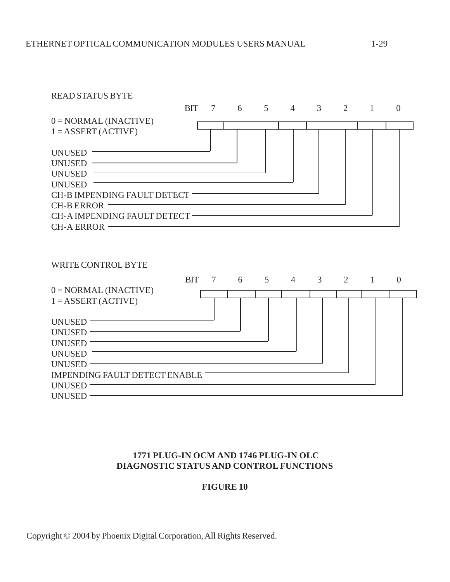| <b>READ STATUS BYTE</b>                                                                                                                    |            |        |   |                |                |                |   |              |                |
|--------------------------------------------------------------------------------------------------------------------------------------------|------------|--------|---|----------------|----------------|----------------|---|--------------|----------------|
|                                                                                                                                            | <b>BIT</b> | 7      | 6 | $\overline{5}$ | $\overline{4}$ | 3              | 2 | $\mathbf{1}$ | $\overline{0}$ |
| $0 = NORMAL$ (INACTIVE)                                                                                                                    |            |        |   |                |                |                |   |              |                |
| $1 = ASBERT(ACTIVE)$                                                                                                                       |            |        |   |                |                |                |   |              |                |
|                                                                                                                                            |            |        |   |                |                |                |   |              |                |
| UNUSED<br><u> 1989 - Johann Barn, fransk politik (</u>                                                                                     |            |        |   |                |                |                |   |              |                |
| UNUSED -<br><u> 1989 - Johann Barn, mars ann an t-Amhain Aonaich an t-Aonaich an t-Aonaich an t-Aonaich an t-Aonaich an t-Aon</u>          |            |        |   |                |                |                |   |              |                |
| <b>UNUSED</b>                                                                                                                              |            |        |   |                |                |                |   |              |                |
| <b>UNUSED</b><br>CH-B IMPENDING FAULT DETECT                                                                                               |            |        |   |                |                |                |   |              |                |
| <b>CH-B ERROR</b>                                                                                                                          |            |        |   |                |                |                |   |              |                |
| CH-A IMPENDING FAULT DETECT                                                                                                                |            |        |   |                |                |                |   |              |                |
| CH-A ERROR – THE CHARGE CHARGE CHARGE CHARGE CHARGE CHARGE CHARGE CHARGE CHARGE CHARGE CHARGE CHARGE CHARGE CH                             |            |        |   |                |                |                |   |              |                |
|                                                                                                                                            |            |        |   |                |                |                |   |              |                |
|                                                                                                                                            |            |        |   |                |                |                |   |              |                |
|                                                                                                                                            |            |        |   |                |                |                |   |              |                |
| <b>WRITE CONTROL BYTE</b>                                                                                                                  |            |        |   |                |                |                |   |              |                |
|                                                                                                                                            | <b>BIT</b> | $\tau$ | 6 | $\overline{5}$ | $\overline{4}$ | $\mathfrak{Z}$ | 2 | $\mathbf{1}$ | $\overline{0}$ |
| $0 = NORMAL$ (INACTIVE)                                                                                                                    |            |        |   |                |                |                |   |              |                |
| $1 = ASSERT (ACTIVE)$                                                                                                                      |            |        |   |                |                |                |   |              |                |
|                                                                                                                                            |            |        |   |                |                |                |   |              |                |
| UNUSED                                                                                                                                     |            |        |   |                |                |                |   |              |                |
| UNUSED VERSION                                                                                                                             |            |        |   |                |                |                |   |              |                |
| UNUSED <sup>-</sup><br><u> 1989 - Johann Barbara, martxa alemaniar argumento este alemaniar alemaniar alemaniar alemaniar alemaniar al</u> |            |        |   |                |                |                |   |              |                |
| <b>UNUSED</b>                                                                                                                              |            |        |   |                |                |                |   |              |                |
| UNUSED -                                                                                                                                   |            |        |   |                |                |                |   |              |                |
| IMPENDING FAULT DETECT ENABLE<br>UNUSED-                                                                                                   |            |        |   |                |                |                |   |              |                |
| UNUSED-                                                                                                                                    |            |        |   |                |                |                |   |              |                |
|                                                                                                                                            |            |        |   |                |                |                |   |              |                |

# **1771 PLUG-IN OCM AND 1746 PLUG-IN OLC DIAGNOSTIC STATUS AND CONTROL FUNCTIONS**

# **FIGURE 10**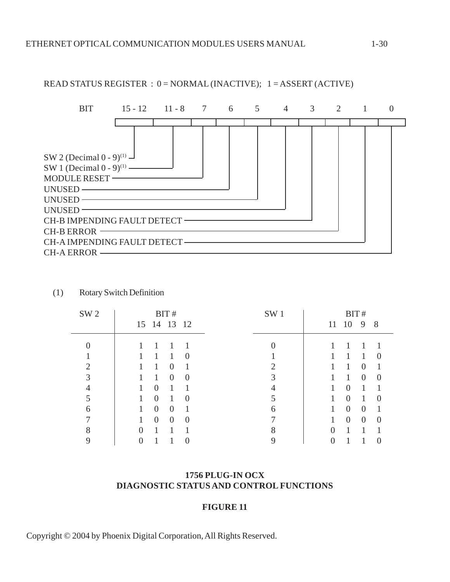

READ STATUS REGISTER : 0 = NORMAL (INACTIVE); 1 = ASSERT (ACTIVE)

| (1) |  | <b>Rotary Switch Definition</b> |
|-----|--|---------------------------------|
|     |  |                                 |

| SW <sub>2</sub> | BIT#                                        | SW <sub>1</sub> | BIT#                                        |
|-----------------|---------------------------------------------|-----------------|---------------------------------------------|
|                 | 15 14 13 12                                 |                 | 10<br>9<br>8<br>11                          |
|                 |                                             |                 |                                             |
|                 | 1<br>$\Omega$                               |                 | $\left($                                    |
| $\mathcal{D}$   | $\overline{0}$                              |                 | 1<br>$\theta$                               |
| 3               | $\theta$<br>$\Omega$                        |                 | 1<br>$\overline{0}$<br>$\left($             |
|                 | $\theta$                                    |                 | 1<br>$\Omega$                               |
|                 | $\overline{0}$<br>1<br>1<br>$\Omega$        |                 | 1<br>1<br>$\theta$<br>$\left( \right)$      |
| 6               | $\overline{0}$<br>$\theta$<br>1             | 6               | $\overline{0}$<br>1<br>$\overline{0}$       |
|                 | $\overline{0}$<br>$\theta$<br>1<br>$\Omega$ |                 | $\overline{0}$<br>$\Omega$<br>1<br>$\Omega$ |
| 8               | $\Omega$                                    | 8               | 0                                           |
|                 | 0                                           |                 |                                             |

#### **1756 PLUG-IN OCX DIAGNOSTIC STATUS AND CONTROL FUNCTIONS**

#### **FIGURE 11**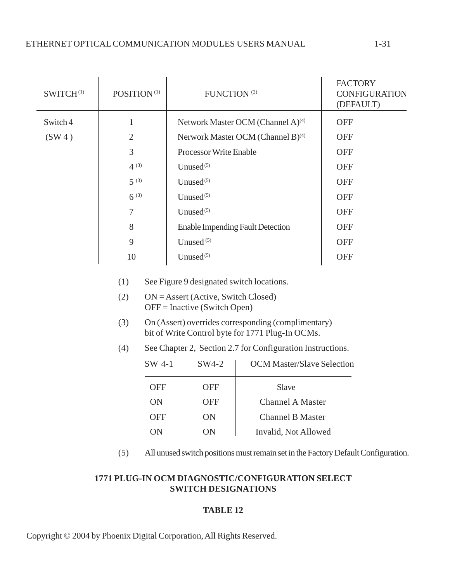| SWITCH <sup>(1)</sup> | POSITION <sup>(1)</sup>                                                                  |                                | FUNCTION <sup>(2)</sup>                       |                                                                                                                                                                                                                                                                                                  | <b>FACTORY</b><br><b>CONFIGURATION</b><br>(DEFAULT) |  |
|-----------------------|------------------------------------------------------------------------------------------|--------------------------------|-----------------------------------------------|--------------------------------------------------------------------------------------------------------------------------------------------------------------------------------------------------------------------------------------------------------------------------------------------------|-----------------------------------------------------|--|
| Switch 4              | $\mathbf{1}$                                                                             |                                | Network Master OCM (Channel A) <sup>(4)</sup> |                                                                                                                                                                                                                                                                                                  | <b>OFF</b>                                          |  |
| (SW4)                 | $\overline{2}$                                                                           |                                |                                               | Nerwork Master OCM (Channel B) <sup>(4)</sup>                                                                                                                                                                                                                                                    | <b>OFF</b>                                          |  |
|                       | $\overline{3}$                                                                           |                                | <b>Processor Write Enable</b>                 |                                                                                                                                                                                                                                                                                                  | <b>OFF</b>                                          |  |
|                       | $4^{(3)}$                                                                                | Unused <sup>(5)</sup>          |                                               |                                                                                                                                                                                                                                                                                                  | <b>OFF</b>                                          |  |
|                       | $5^{(3)}$                                                                                | Unused <sup>(5)</sup>          |                                               |                                                                                                                                                                                                                                                                                                  | <b>OFF</b>                                          |  |
|                       | $6^{(3)}$                                                                                | Unused <sup>(5)</sup>          |                                               |                                                                                                                                                                                                                                                                                                  | <b>OFF</b>                                          |  |
|                       | $\tau$                                                                                   | Unused $(5)$                   |                                               |                                                                                                                                                                                                                                                                                                  | <b>OFF</b>                                          |  |
|                       | 8                                                                                        |                                |                                               | <b>Enable Impending Fault Detection</b>                                                                                                                                                                                                                                                          | <b>OFF</b>                                          |  |
|                       | 9                                                                                        |                                | Unused $(5)$                                  |                                                                                                                                                                                                                                                                                                  | <b>OFF</b>                                          |  |
|                       | 10                                                                                       | Unused <sup>(5)</sup>          |                                               |                                                                                                                                                                                                                                                                                                  | <b>OFF</b>                                          |  |
|                       | (1)<br>(2)<br>(3)<br>(4)<br>SW 4-1                                                       | $OFF = Inactive (Switch Open)$ | SW4-2                                         | See Figure 9 designated switch locations.<br>$ON =$ Assert (Active, Switch Closed)<br>On (Assert) overrides corresponding (complimentary)<br>bit of Write Control byte for 1771 Plug-In OCMs.<br>See Chapter 2, Section 2.7 for Configuration Instructions.<br><b>OCM Master/Slave Selection</b> |                                                     |  |
|                       | <b>OFF</b><br>ON<br><b>OFF</b><br>ON                                                     |                                | <b>OFF</b><br><b>OFF</b><br>ON<br>ON          | Slave<br><b>Channel A Master</b><br><b>Channel B Master</b><br>Invalid, Not Allowed                                                                                                                                                                                                              |                                                     |  |
|                       | (5)<br>All unused switch positions must remain set in the Factory Default Configuration. |                                |                                               |                                                                                                                                                                                                                                                                                                  |                                                     |  |

# **1771 PLUG-IN OCM DIAGNOSTIC/CONFIGURATION SELECT SWITCH DESIGNATIONS**

# **TABLE 12**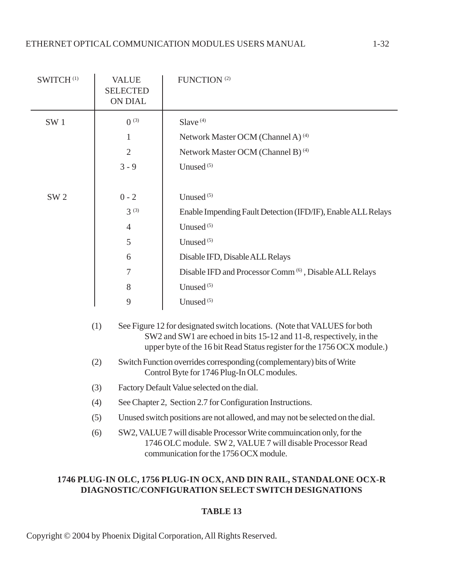| SWITCH <sup>(1)</sup> | <b>VALUE</b><br><b>SELECTED</b><br>ON DIAL | FUNCTION <sup>(2)</sup>                                                                                                                                                                                                     |
|-----------------------|--------------------------------------------|-----------------------------------------------------------------------------------------------------------------------------------------------------------------------------------------------------------------------------|
| SW <sub>1</sub>       | $0^{(3)}$                                  | Slave <sup>(4)</sup>                                                                                                                                                                                                        |
|                       | 1                                          | Network Master OCM (Channel A) <sup>(4)</sup>                                                                                                                                                                               |
|                       | $\overline{2}$                             | Network Master OCM (Channel B) <sup>(4)</sup>                                                                                                                                                                               |
|                       | $3 - 9$                                    | Unused <sup>(5)</sup>                                                                                                                                                                                                       |
|                       |                                            |                                                                                                                                                                                                                             |
| SW <sub>2</sub>       | $0 - 2$                                    | Unused <sup>(5)</sup>                                                                                                                                                                                                       |
|                       | $3^{(3)}$                                  | Enable Impending Fault Detection (IFD/IF), Enable ALL Relays                                                                                                                                                                |
|                       | $\overline{4}$                             | Unused <sup>(5)</sup>                                                                                                                                                                                                       |
|                       | 5                                          | Unused <sup>(5)</sup>                                                                                                                                                                                                       |
|                       | 6                                          | Disable IFD, Disable ALL Relays                                                                                                                                                                                             |
|                       | 7                                          | Disable IFD and Processor Comm <sup>(6)</sup> , Disable ALL Relays                                                                                                                                                          |
|                       | 8                                          | Unused <sup>(5)</sup>                                                                                                                                                                                                       |
|                       | 9                                          | Unused <sup>(5)</sup>                                                                                                                                                                                                       |
| (1)                   |                                            | See Figure 12 for designated switch locations. (Note that VALUES for both<br>SW2 and SW1 are echoed in bits 15-12 and 11-8, respectively, in the<br>upper byte of the 16 bit Read Status register for the 1756 OCX module.) |
| (2)                   |                                            | Switch Function overrides corresponding (complementary) bits of Write<br>Control Byte for 1746 Plug-In OLC modules.                                                                                                         |
|                       | (3)                                        | Factory Default Value selected on the dial.                                                                                                                                                                                 |
|                       | (4)                                        | See Chapter 2, Section 2.7 for Configuration Instructions.                                                                                                                                                                  |
| (5)                   |                                            | Unused switch positions are not allowed, and may not be selected on the dial.                                                                                                                                               |
|                       | (6)                                        | SW2, VALUE 7 will disable Processor Write commuincation only, for the<br>1746 OLC module. SW 2, VALUE 7 will disable Processor Read<br>communication for the 1756 OCX module.                                               |

# **1746 PLUG-IN OLC, 1756 PLUG-IN OCX, AND DIN RAIL, STANDALONE OCX-R DIAGNOSTIC/CONFIGURATION SELECT SWITCH DESIGNATIONS**

# **TABLE 13**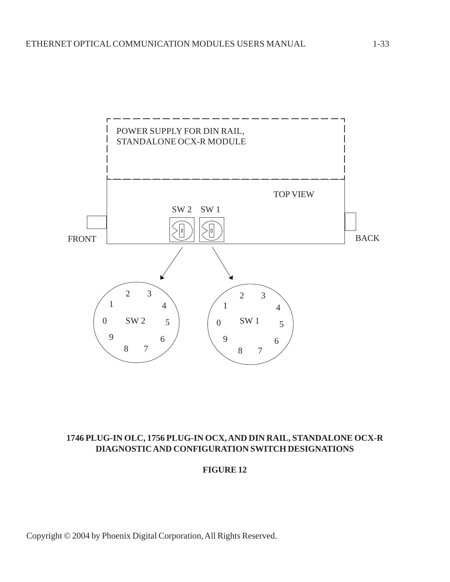

# **1746 PLUG-IN OLC, 1756 PLUG-IN OCX, AND DIN RAIL, STANDALONE OCX-R DIAGNOSTIC AND CONFIGURATION SWITCH DESIGNATIONS**

#### **FIGURE 12**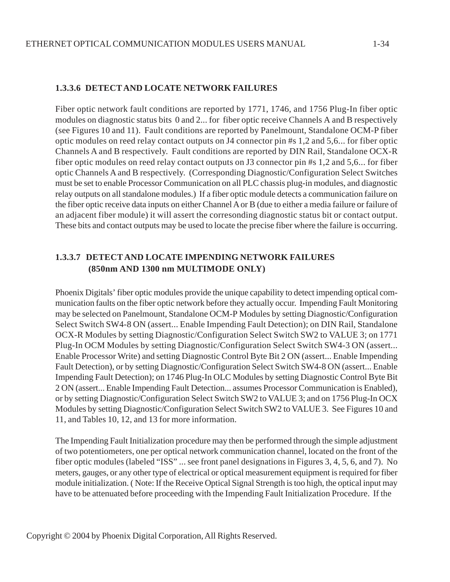#### **1.3.3.6 DETECT AND LOCATE NETWORK FAILURES**

Fiber optic network fault conditions are reported by 1771, 1746, and 1756 Plug-In fiber optic modules on diagnostic status bits 0 and 2... for fiber optic receive Channels A and B respectively (see Figures 10 and 11). Fault conditions are reported by Panelmount, Standalone OCM-P fiber optic modules on reed relay contact outputs on J4 connector pin #s 1,2 and 5,6... for fiber optic Channels A and B respectively. Fault conditions are reported by DIN Rail, Standalone OCX-R fiber optic modules on reed relay contact outputs on J3 connector pin #s 1,2 and 5,6... for fiber optic Channels A and B respectively. (Corresponding Diagnostic/Configuration Select Switches must be set to enable Processor Communication on all PLC chassis plug-in modules, and diagnostic relay outputs on all standalone modules.) If a fiber optic module detects a communication failure on the fiber optic receive data inputs on either Channel A or B (due to either a media failure or failure of an adjacent fiber module) it will assert the corresonding diagnostic status bit or contact output. These bits and contact outputs may be used to locate the precise fiber where the failure is occurring.

# **1.3.3.7 DETECT AND LOCATE IMPENDING NETWORK FAILURES (850nm AND 1300 nm MULTIMODE ONLY)**

Phoenix Digitals' fiber optic modules provide the unique capability to detect impending optical communication faults on the fiber optic network before they actually occur. Impending Fault Monitoring may be selected on Panelmount, Standalone OCM-P Modules by setting Diagnostic/Configuration Select Switch SW4-8 ON (assert... Enable Impending Fault Detection); on DIN Rail, Standalone OCX-R Modules by setting Diagnostic/Configuration Select Switch SW2 to VALUE 3; on 1771 Plug-In OCM Modules by setting Diagnostic/Configuration Select Switch SW4-3 ON (assert... Enable Processor Write) and setting Diagnostic Control Byte Bit 2 ON (assert... Enable Impending Fault Detection), or by setting Diagnostic/Configuration Select Switch SW4-8 ON (assert... Enable Impending Fault Detection); on 1746 Plug-In OLC Modules by setting Diagnostic Control Byte Bit 2 ON (assert... Enable Impending Fault Detection... assumes Processor Communication is Enabled), or by setting Diagnostic/Configuration Select Switch SW2 to VALUE 3; and on 1756 Plug-In OCX Modules by setting Diagnostic/Configuration Select Switch SW2 to VALUE 3. See Figures 10 and 11, and Tables 10, 12, and 13 for more information.

The Impending Fault Initialization procedure may then be performed through the simple adjustment of two potentiometers, one per optical network communication channel, located on the front of the fiber optic modules (labeled "ISS" ... see front panel designations in Figures 3, 4, 5, 6, and 7). No meters, gauges, or any other type of electrical or optical measurement equipment is required for fiber module initialization. ( Note: If the Receive Optical Signal Strength is too high, the optical input may have to be attenuated before proceeding with the Impending Fault Initialization Procedure. If the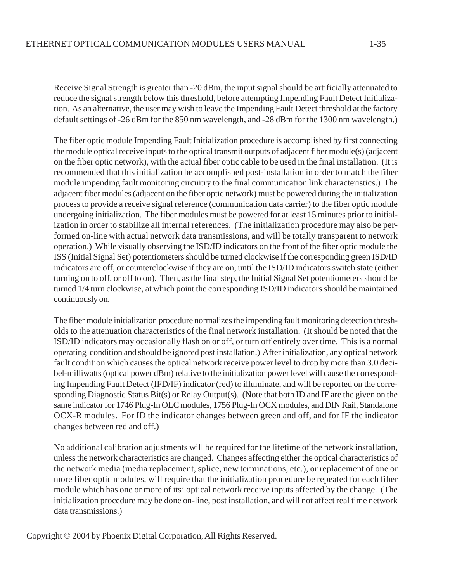Receive Signal Strength is greater than -20 dBm, the input signal should be artificially attenuated to reduce the signal strength below this threshold, before attempting Impending Fault Detect Initialization. As an alternative, the user may wish to leave the Impending Fault Detect threshold at the factory default settings of -26 dBm for the 850 nm wavelength, and -28 dBm for the 1300 nm wavelength.)

The fiber optic module Impending Fault Initialization procedure is accomplished by first connecting the module optical receive inputs to the optical transmit outputs of adjacent fiber module(s) (adjacent on the fiber optic network), with the actual fiber optic cable to be used in the final installation. (It is recommended that this initialization be accomplished post-installation in order to match the fiber module impending fault monitoring circuitry to the final communication link characteristics.) The adjacent fiber modules (adjacent on the fiber optic network) must be powered during the initialization process to provide a receive signal reference (communication data carrier) to the fiber optic module undergoing initialization. The fiber modules must be powered for at least 15 minutes prior to initialization in order to stabilize all internal references. (The initialization procedure may also be performed on-line with actual network data transmissions, and will be totally transparent to network operation.) While visually observing the ISD/ID indicators on the front of the fiber optic module the ISS (Initial Signal Set) potentiometers should be turned clockwise if the corresponding green ISD/ID indicators are off, or counterclockwise if they are on, until the ISD/ID indicators switch state (either turning on to off, or off to on). Then, as the final step, the Initial Signal Set potentiometers should be turned 1/4 turn clockwise, at which point the corresponding ISD/ID indicators should be maintained continuously on.

The fiber module initialization procedure normalizes the impending fault monitoring detection thresholds to the attenuation characteristics of the final network installation. (It should be noted that the ISD/ID indicators may occasionally flash on or off, or turn off entirely over time. This is a normal operating condition and should be ignored post installation.) After initialization, any optical network fault condition which causes the optical network receive power level to drop by more than 3.0 decibel-milliwatts (optical power dBm) relative to the initialization power level will cause the corresponding Impending Fault Detect (IFD/IF) indicator (red) to illuminate, and will be reported on the corresponding Diagnostic Status Bit(s) or Relay Output(s). (Note that both ID and IF are the given on the same indicator for 1746 Plug-In OLC modules, 1756 Plug-In OCX modules, and DIN Rail, Standalone OCX-R modules. For ID the indicator changes between green and off, and for IF the indicator changes between red and off.)

No additional calibration adjustments will be required for the lifetime of the network installation, unless the network characteristics are changed. Changes affecting either the optical characteristics of the network media (media replacement, splice, new terminations, etc.), or replacement of one or more fiber optic modules, will require that the initialization procedure be repeated for each fiber module which has one or more of its' optical network receive inputs affected by the change. (The initialization procedure may be done on-line, post installation, and will not affect real time network data transmissions.)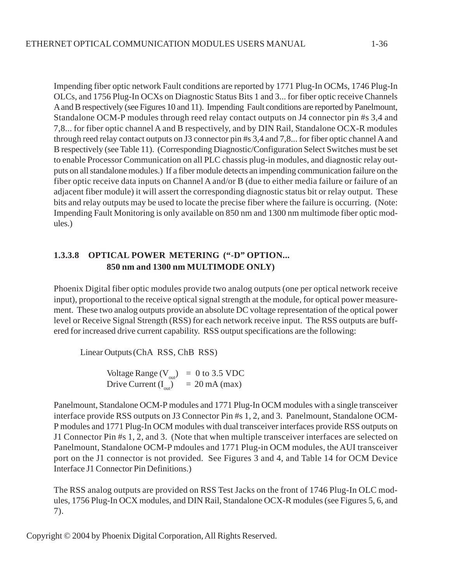1-36

Impending fiber optic network Fault conditions are reported by 1771 Plug-In OCMs, 1746 Plug-In OLCs, and 1756 Plug-In OCXs on Diagnostic Status Bits 1 and 3... for fiber optic receive Channels A and B respectively (see Figures 10 and 11). Impending Fault conditions are reported by Panelmount, Standalone OCM-P modules through reed relay contact outputs on J4 connector pin #s 3,4 and 7,8... for fiber optic channel A and B respectively, and by DIN Rail, Standalone OCX-R modules through reed relay contact outputs on J3 connector pin #s 3,4 and 7,8... for fiber optic channel A and B respectively (see Table 11). (Corresponding Diagnostic/Configuration Select Switches must be set to enable Processor Communication on all PLC chassis plug-in modules, and diagnostic relay outputs on all standalone modules.) If a fiber module detects an impending communication failure on the fiber optic receive data inputs on Channel A and/or B (due to either media failure or failure of an adjacent fiber module) it will assert the corresponding diagnostic status bit or relay output. These bits and relay outputs may be used to locate the precise fiber where the failure is occurring. (Note: Impending Fault Monitoring is only available on 850 nm and 1300 nm multimode fiber optic modules.)

# **1.3.3.8 OPTICAL POWER METERING ("-D" OPTION... 850 nm and 1300 nm MULTIMODE ONLY)**

Phoenix Digital fiber optic modules provide two analog outputs (one per optical network receive input), proportional to the receive optical signal strength at the module, for optical power measurement. These two analog outputs provide an absolute DC voltage representation of the optical power level or Receive Signal Strength (RSS) for each network receive input. The RSS outputs are buffered for increased drive current capability. RSS output specifications are the following:

Linear Outputs(ChA RSS, ChB RSS)

Voltage Range  $(V_{out})$  = 0 to 3.5 VDC Drive Current  $(I_{out})$  = 20 mA (max)

Panelmount, Standalone OCM-P modules and 1771 Plug-In OCM modules with a single transceiver interface provide RSS outputs on J3 Connector Pin #s 1, 2, and 3. Panelmount, Standalone OCM-P modules and 1771 Plug-In OCM modules with dual transceiver interfaces provide RSS outputs on J1 Connector Pin #s 1, 2, and 3. (Note that when multiple transceiver interfaces are selected on Panelmount, Standalone OCM-P mdoules and 1771 Plug-in OCM modules, the AUI transceiver port on the J1 connector is not provided. See Figures 3 and 4, and Table 14 for OCM Device Interface J1 Connector Pin Definitions.)

The RSS analog outputs are provided on RSS Test Jacks on the front of 1746 Plug-In OLC modules, 1756 Plug-In OCX modules, and DIN Rail, Standalone OCX-R modules (see Figures 5, 6, and 7).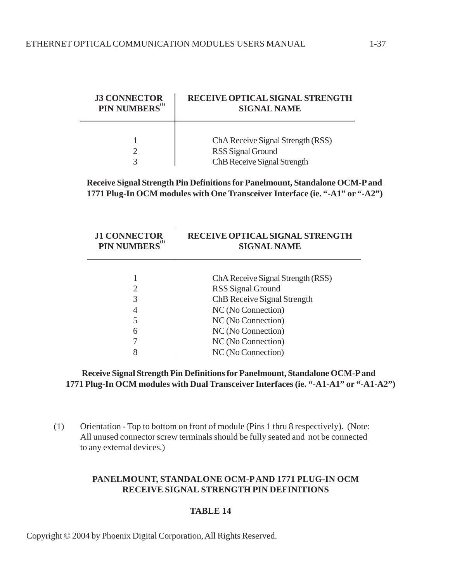| <b>J3 CONNECTOR</b><br>PIN NUMBERS <sup>(1)</sup> | RECEIVE OPTICAL SIGNAL STRENGTH<br><b>SIGNAL NAME</b> |
|---------------------------------------------------|-------------------------------------------------------|
|                                                   | ChA Receive Signal Strength (RSS)                     |
|                                                   | RSS Signal Ground<br>ChB Receive Signal Strength      |

#### **Receive Signal Strength Pin Definitions for Panelmount, Standalone OCM-P and 1771 Plug-In OCM modules with One Transceiver Interface (ie. "-A1" or "-A2")**

|   | <b>J1 CONNECTOR</b><br>PIN NUMBERS <sup>(1)</sup> | <b>RECEIVE OPTICAL SIGNAL STRENGTH</b><br><b>SIGNAL NAME</b> |  |
|---|---------------------------------------------------|--------------------------------------------------------------|--|
|   |                                                   | ChA Receive Signal Strength (RSS)                            |  |
|   | 2                                                 | RSS Signal Ground                                            |  |
| 3 |                                                   | ChB Receive Signal Strength                                  |  |
|   | 4                                                 | NC (No Connection)                                           |  |
|   |                                                   | NC (No Connection)                                           |  |
|   | 6                                                 | NC (No Connection)                                           |  |
|   |                                                   | NC (No Connection)                                           |  |
|   |                                                   | NC (No Connection)                                           |  |

#### **Receive Signal Strength Pin Definitions for Panelmount, Standalone OCM-P and 1771 Plug-In OCM modules with Dual Transceiver Interfaces (ie. "-A1-A1" or "-A1-A2")**

(1) Orientation - Top to bottom on front of module (Pins 1 thru 8 respectively). (Note: All unused connector screw terminals should be fully seated and not be connected to any external devices.)

# **PANELMOUNT, STANDALONE OCM-P AND 1771 PLUG-IN OCM RECEIVE SIGNAL STRENGTH PIN DEFINITIONS**

#### **TABLE 14**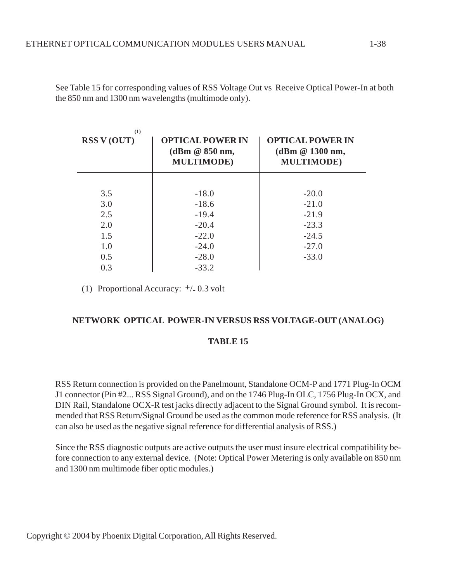| (1)<br><b>RSS V (OUT)</b> | <b>OPTICAL POWER IN</b><br>(dBm @ 850 nm,<br><b>MULTIMODE</b> ) | <b>OPTICAL POWER IN</b><br>(dBm @ 1300 nm,<br><b>MULTIMODE</b> ) |
|---------------------------|-----------------------------------------------------------------|------------------------------------------------------------------|
|                           |                                                                 |                                                                  |
| 3.5                       | $-18.0$                                                         | $-20.0$                                                          |
| 3.0                       | $-18.6$                                                         | $-21.0$                                                          |
| 2.5                       | $-19.4$                                                         | $-21.9$                                                          |
| 2.0                       | $-20.4$                                                         | $-23.3$                                                          |
| 1.5                       | $-22.0$                                                         | $-24.5$                                                          |
| 1.0                       | $-24.0$                                                         | $-27.0$                                                          |
| 0.5                       | $-28.0$                                                         | $-33.0$                                                          |
| 0.3                       | $-33.2$                                                         |                                                                  |

See Table 15 for corresponding values of RSS Voltage Out vs Receive Optical Power-In at both the 850 nm and 1300 nm wavelengths (multimode only).

(1) Proportional Accuracy: +/- 0.3 volt

#### **NETWORK OPTICAL POWER-IN VERSUS RSS VOLTAGE-OUT (ANALOG)**

#### **TABLE 15**

RSS Return connection is provided on the Panelmount, Standalone OCM-P and 1771 Plug-In OCM J1 connector (Pin #2... RSS Signal Ground), and on the 1746 Plug-In OLC, 1756 Plug-In OCX, and DIN Rail, Standalone OCX-R test jacks directly adjacent to the Signal Ground symbol. It is recommended that RSS Return/Signal Ground be used as the common mode reference for RSS analysis. (It can also be used as the negative signal reference for differential analysis of RSS.)

Since the RSS diagnostic outputs are active outputs the user must insure electrical compatibility before connection to any external device. (Note: Optical Power Metering is only available on 850 nm and 1300 nm multimode fiber optic modules.)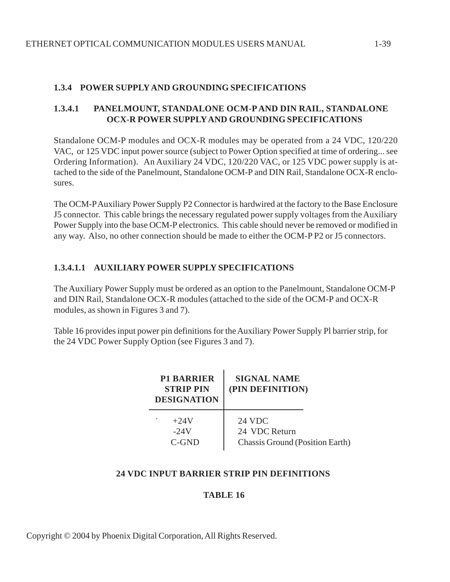# **1.3.4 POWER SUPPLY AND GROUNDING SPECIFICATIONS**

# **1.3.4.1 PANELMOUNT, STANDALONE OCM-P AND DIN RAIL, STANDALONE OCX-R POWER SUPPLY AND GROUNDING SPECIFICATIONS**

Standalone OCM-P modules and OCX-R modules may be operated from a 24 VDC, 120/220 VAC, or 125 VDC input power source (subject to Power Option specified at time of ordering... see Ordering Information). An Auxiliary 24 VDC, 120/220 VAC, or 125 VDC power supply is attached to the side of the Panelmount, Standalone OCM-P and DIN Rail, Standalone OCX-R enclosures.

The OCM-P Auxiliary Power Supply P2 Connector is hardwired at the factory to the Base Enclosure J5 connector. This cable brings the necessary regulated power supply voltages from the Auxiliary Power Supply into the base OCM-P electronics. This cable should never be removed or modified in any way. Also, no other connection should be made to either the OCM-P P2 or J5 connectors.

# **1.3.4.1.1 AUXILIARY POWER SUPPLY SPECIFICATIONS**

The Auxiliary Power Supply must be ordered as an option to the Panelmount, Standalone OCM-P and DIN Rail, Standalone OCX-R modules (attached to the side of the OCM-P and OCX-R modules, as shown in Figures 3 and 7).

Table 16 provides input power pin definitions for the Auxiliary Power Supply Pl barrier strip, for the 24 VDC Power Supply Option (see Figures 3 and 7).

| <b>P1 BARRIER</b><br><b>STRIP PIN</b><br><b>DESIGNATION</b> | <b>SIGNAL NAME</b><br>(PIN DEFINITION)                            |  |  |
|-------------------------------------------------------------|-------------------------------------------------------------------|--|--|
| $+24V$<br>$-24V$<br>$C$ -GND                                | 24 VDC<br>24 VDC Return<br><b>Chassis Ground (Position Earth)</b> |  |  |

#### **24 VDC INPUT BARRIER STRIP PIN DEFINITIONS**

#### **TABLE 16**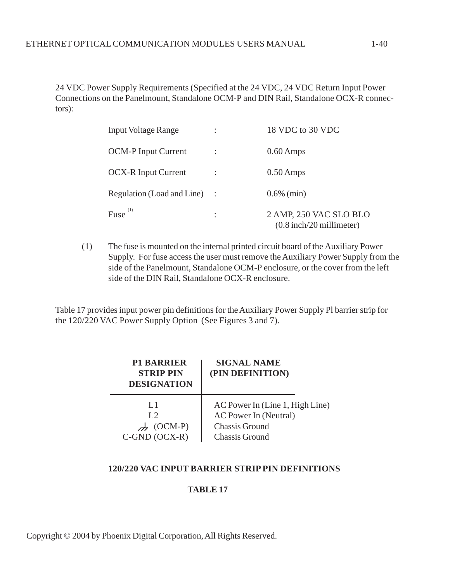24 VDC Power Supply Requirements (Specified at the 24 VDC, 24 VDC Return Input Power Connections on the Panelmount, Standalone OCM-P and DIN Rail, Standalone OCX-R connectors):

| <b>Input Voltage Range</b>   | ٠<br>$\cdot$ | 18 VDC to 30 VDC                                     |
|------------------------------|--------------|------------------------------------------------------|
| <b>OCM-P Input Current</b>   |              | $0.60$ Amps                                          |
| <b>OCX-R Input Current</b>   |              | $0.50$ Amps                                          |
| Regulation (Load and Line) : |              | $0.6\%$ (min)                                        |
| Fuse $(1)$                   | ٠            | 2 AMP, 250 VAC SLO BLO<br>$(0.8$ inch/20 millimeter) |

(1) The fuse is mounted on the internal printed circuit board of the Auxiliary Power Supply. For fuse access the user must remove the Auxiliary Power Supply from the side of the Panelmount, Standalone OCM-P enclosure, or the cover from the left side of the DIN Rail, Standalone OCX-R enclosure.

Table 17 provides input power pin definitions for the Auxiliary Power Supply Pl barrier strip for the 120/220 VAC Power Supply Option (See Figures 3 and 7).

| <b>P1 BARRIER</b><br><b>STRIP PIN</b><br><b>DESIGNATION</b> | <b>SIGNAL NAME</b><br>(PIN DEFINITION) |
|-------------------------------------------------------------|----------------------------------------|
| L1                                                          | AC Power In (Line 1, High Line)        |
| L2                                                          | AC Power In (Neutral)                  |
| $(OCM-P)$                                                   | <b>Chassis Ground</b>                  |
| $C$ -GND $(OCX-R)$                                          | <b>Chassis Ground</b>                  |

#### **120/220 VAC INPUT BARRIER STRIP PIN DEFINITIONS**

#### **TABLE 17**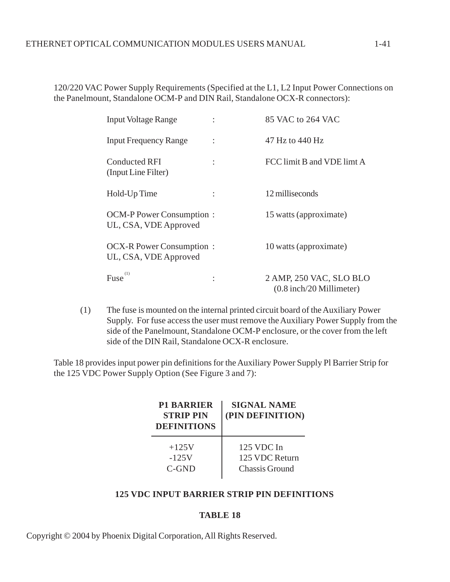120/220 VAC Power Supply Requirements (Specified at the L1, L2 Input Power Connections on the Panelmount, Standalone OCM-P and DIN Rail, Standalone OCX-R connectors):

| <b>Input Voltage Range</b>                               |                | 85 VAC to 264 VAC                                     |
|----------------------------------------------------------|----------------|-------------------------------------------------------|
| <b>Input Frequency Range</b>                             | $\ddot{\cdot}$ | 47 Hz to 440 Hz                                       |
| <b>Conducted RFI</b><br>(Input Line Filter)              |                | FCC limit B and VDE limt A                            |
| Hold-Up Time                                             |                | 12 milliseconds                                       |
| <b>OCM-P Power Consumption:</b><br>UL, CSA, VDE Approved |                | 15 watts (approximate)                                |
| <b>OCX-R Power Consumption:</b><br>UL, CSA, VDE Approved |                | 10 watts (approximate)                                |
| Fuse                                                     |                | 2 AMP, 250 VAC, SLO BLO<br>$(0.8$ inch/20 Millimeter) |

(1) The fuse is mounted on the internal printed circuit board of the Auxiliary Power Supply. For fuse access the user must remove the Auxiliary Power Supply from the side of the Panelmount, Standalone OCM-P enclosure, or the cover from the left side of the DIN Rail, Standalone OCX-R enclosure.

Table 18 provides input power pin definitions for the Auxiliary Power Supply Pl Barrier Strip for the 125 VDC Power Supply Option (See Figure 3 and 7):

| <b>P1 BARRIER</b><br><b>STRIP PIN</b><br><b>DEFINITIONS</b> | <b>SIGNAL NAME</b><br>(PIN DEFINITION) |
|-------------------------------------------------------------|----------------------------------------|
| $+125V$                                                     | $125$ VDC In                           |
| $-125V$                                                     | 125 VDC Return                         |
| C-GND                                                       | <b>Chassis Ground</b>                  |

# **125 VDC INPUT BARRIER STRIP PIN DEFINITIONS**

#### **TABLE 18**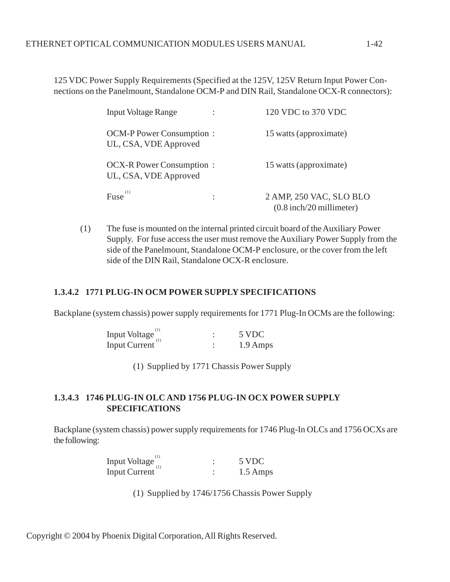125 VDC Power Supply Requirements (Specified at the 125V, 125V Return Input Power Connections on the Panelmount, Standalone OCM-P and DIN Rail, Standalone OCX-R connectors):

| <b>Input Voltage Range</b>                               | 120 VDC to 370 VDC                                    |
|----------------------------------------------------------|-------------------------------------------------------|
| <b>OCM-P Power Consumption:</b><br>UL, CSA, VDE Approved | 15 watts (approximate)                                |
| <b>OCX-R Power Consumption:</b><br>UL, CSA, VDE Approved | 15 watts (approximate)                                |
| $Fuse^{(1)}$                                             | 2 AMP, 250 VAC, SLO BLO<br>$(0.8$ inch/20 millimeter) |

(1) The fuse is mounted on the internal printed circuit board of the Auxiliary Power Supply. For fuse access the user must remove the Auxiliary Power Supply from the side of the Panelmount, Standalone OCM-P enclosure, or the cover from the left side of the DIN Rail, Standalone OCX-R enclosure.

#### **1.3.4.2 1771 PLUG-IN OCM POWER SUPPLY SPECIFICATIONS**

Backplane (system chassis) power supply requirements for 1771 Plug-In OCMs are the following:

| Input Voltage        | 5 VDC    |
|----------------------|----------|
| <b>Input Current</b> | 1.9 Amps |

(1) Supplied by 1771 Chassis Power Supply

# **1.3.4.3 1746 PLUG-IN OLC AND 1756 PLUG-IN OCX POWER SUPPLY SPECIFICATIONS**

Backplane (system chassis) power supply requirements for 1746 Plug-In OLCs and 1756 OCXs are the following:

| Input Voltage        | 5 VDC    |
|----------------------|----------|
| <b>Input Current</b> | 1.5 Amps |

(1) Supplied by 1746/1756 Chassis Power Supply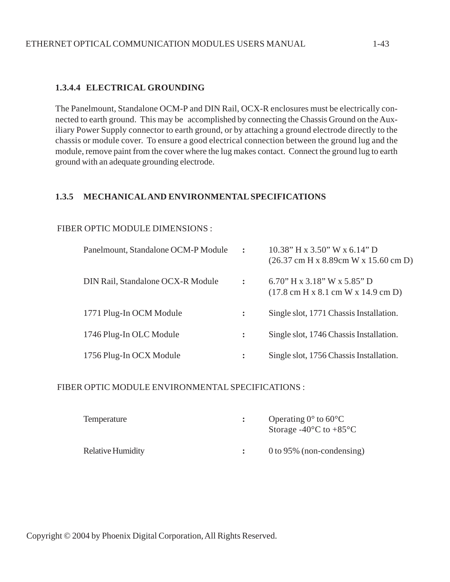#### **1.3.4.4 ELECTRICAL GROUNDING**

The Panelmount, Standalone OCM-P and DIN Rail, OCX-R enclosures must be electrically connected to earth ground. This may be accomplished by connecting the Chassis Ground on the Auxiliary Power Supply connector to earth ground, or by attaching a ground electrode directly to the chassis or module cover. To ensure a good electrical connection between the ground lug and the module, remove paint from the cover where the lug makes contact. Connect the ground lug to earth ground with an adequate grounding electrode.

#### **1.3.5 MECHANICAL AND ENVIRONMENTAL SPECIFICATIONS**

#### FIBER OPTIC MODULE DIMENSIONS :

| Panelmount, Standalone OCM-P Module | $\ddot{\phantom{a}}$ | $10.38$ " H x 3.50" W x 6.14" D<br>$(26.37 \text{ cm H x } 8.89 \text{ cm W x } 15.60 \text{ cm D})$ |
|-------------------------------------|----------------------|------------------------------------------------------------------------------------------------------|
| DIN Rail, Standalone OCX-R Module   | $\ddot{\cdot}$       | 6.70" H x $3.18$ " W x $5.85$ " D<br>$(17.8 \text{ cm H x } 8.1 \text{ cm W x } 14.9 \text{ cm D})$  |
| 1771 Plug-In OCM Module             | $\ddot{\cdot}$       | Single slot, 1771 Chassis Installation.                                                              |
| 1746 Plug-In OLC Module             | $\ddot{\cdot}$       | Single slot, 1746 Chassis Installation.                                                              |
| 1756 Plug-In OCX Module             | $\ddot{\cdot}$       | Single slot, 1756 Chassis Installation.                                                              |

#### FIBER OPTIC MODULE ENVIRONMENTAL SPECIFICATIONS :

| Temperature              | Operating $0^{\circ}$ to $60^{\circ}$ C<br>Storage -40 $\rm ^{\circ}C$ to +85 $\rm ^{\circ}C$ |
|--------------------------|-----------------------------------------------------------------------------------------------|
| <b>Relative Humidity</b> | $0$ to 95% (non-condensing)                                                                   |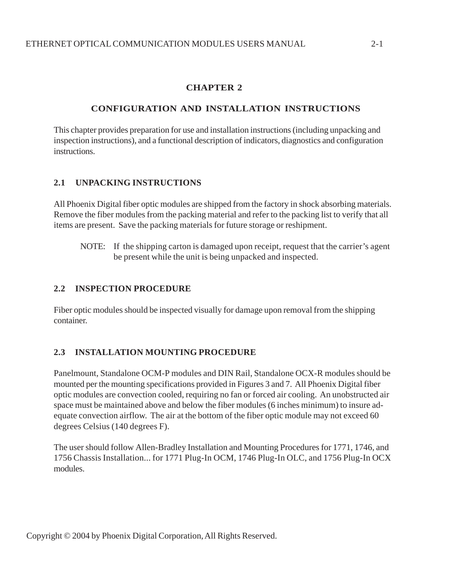# **CHAPTER 2**

# **CONFIGURATION AND INSTALLATION INSTRUCTIONS**

This chapter provides preparation for use and installation instructions (including unpacking and inspection instructions), and a functional description of indicators, diagnostics and configuration instructions.

# **2.1 UNPACKING INSTRUCTIONS**

All Phoenix Digital fiber optic modules are shipped from the factory in shock absorbing materials. Remove the fiber modules from the packing material and refer to the packing list to verify that all items are present. Save the packing materials for future storage or reshipment.

NOTE: If the shipping carton is damaged upon receipt, request that the carrier's agent be present while the unit is being unpacked and inspected.

# **2.2 INSPECTION PROCEDURE**

Fiber optic modules should be inspected visually for damage upon removal from the shipping container.

# **2.3 INSTALLATION MOUNTING PROCEDURE**

Panelmount, Standalone OCM-P modules and DIN Rail, Standalone OCX-R modules should be mounted per the mounting specifications provided in Figures 3 and 7. All Phoenix Digital fiber optic modules are convection cooled, requiring no fan or forced air cooling. An unobstructed air space must be maintained above and below the fiber modules (6 inches minimum) to insure adequate convection airflow. The air at the bottom of the fiber optic module may not exceed 60 degrees Celsius (140 degrees F).

The user should follow Allen-Bradley Installation and Mounting Procedures for 1771, 1746, and 1756 Chassis Installation... for 1771 Plug-In OCM, 1746 Plug-In OLC, and 1756 Plug-In OCX modules.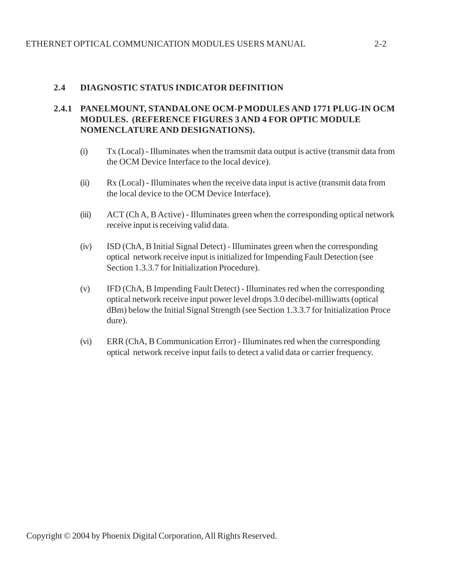# **2.4 DIAGNOSTIC STATUS INDICATOR DEFINITION**

# **2.4.1 PANELMOUNT, STANDALONE OCM-P MODULES AND 1771 PLUG-IN OCM MODULES. (REFERENCE FIGURES 3 AND 4 FOR OPTIC MODULE NOMENCLATURE AND DESIGNATIONS).**

- (i) Tx (Local) Illuminates when the tramsmit data output is active (transmit data from the OCM Device Interface to the local device).
- (ii) Rx (Local) Illuminates when the receive data input is active (transmit data from the local device to the OCM Device Interface).
- (iii) ACT (Ch A, B Active) Illuminates green when the corresponding optical network receive input is receiving valid data.
- (iv) ISD (ChA, B Initial Signal Detect) Illuminates green when the corresponding optical network receive input is initialized for Impending Fault Detection (see Section 1.3.3.7 for Initialization Procedure).
- (v) IFD (ChA, B Impending Fault Detect) Illuminates red when the corresponding optical network receive input power level drops 3.0 decibel-milliwatts (optical dBm) below the Initial Signal Strength (see Section 1.3.3.7 for Initialization Proce dure).
- (vi) ERR (ChA, B Communication Error) Illuminates red when the corresponding optical network receive input fails to detect a valid data or carrier frequency.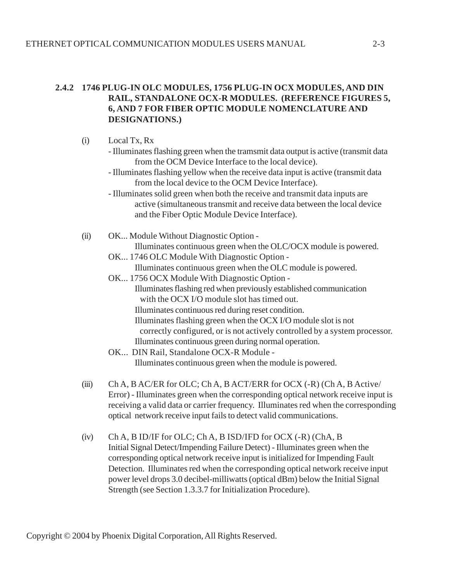# **2.4.2 1746 PLUG-IN OLC MODULES, 1756 PLUG-IN OCX MODULES, AND DIN RAIL, STANDALONE OCX-R MODULES. (REFERENCE FIGURES 5, 6, AND 7 FOR FIBER OPTIC MODULE NOMENCLATURE AND DESIGNATIONS.)**

- (i) Local Tx, Rx
	- Illuminates flashing green when the tramsmit data output is active (transmit data from the OCM Device Interface to the local device).
	- Illuminates flashing yellow when the receive data input is active (transmit data from the local device to the OCM Device Interface).
	- Illuminates solid green when both the receive and transmit data inputs are active (simultaneous transmit and receive data between the local device and the Fiber Optic Module Device Interface).
- (ii) OK... Module Without Diagnostic Option Illuminates continuous green when the OLC/OCX module is powered.
	- OK... 1746 OLC Module With Diagnostic Option Illuminates continuous green when the OLC module is powered.
	- OK... 1756 OCX Module With Diagnostic Option Illuminates flashing red when previously established communication with the OCX I/O module slot has timed out. Illuminates continuous red during reset condition. Illuminates flashing green when the OCX I/O module slot is not correctly configured, or is not actively controlled by a system processor. Illuminates continuous green during normal operation.
	- OK... DIN Rail, Standalone OCX-R Module Illuminates continuous green when the module is powered.
- (iii) Ch A, B AC/ER for OLC; Ch A, B ACT/ERR for OCX (-R) (Ch A, B Active/ Error) - Illuminates green when the corresponding optical network receive input is receiving a valid data or carrier frequency. Illuminates red when the corresponding optical network receive input fails to detect valid communications.
- (iv) Ch A, B ID/IF for OLC; Ch A, B ISD/IFD for OCX (-R) (ChA, B Initial Signal Detect/Impending Failure Detect) - Illuminates green when the corresponding optical network receive input is initialized for Impending Fault Detection. Illuminates red when the corresponding optical network receive input power level drops 3.0 decibel-milliwatts (optical dBm) below the Initial Signal Strength (see Section 1.3.3.7 for Initialization Procedure).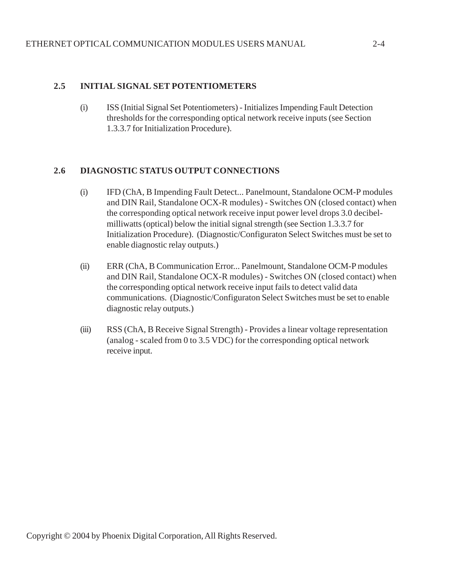#### **2.5 INITIAL SIGNAL SET POTENTIOMETERS**

(i) ISS (Initial Signal Set Potentiometers) - Initializes Impending Fault Detection thresholds for the corresponding optical network receive inputs (see Section 1.3.3.7 for Initialization Procedure).

#### **2.6 DIAGNOSTIC STATUS OUTPUT CONNECTIONS**

- (i) IFD (ChA, B Impending Fault Detect... Panelmount, Standalone OCM-P modules and DIN Rail, Standalone OCX-R modules) - Switches ON (closed contact) when the corresponding optical network receive input power level drops 3.0 decibelmilliwatts (optical) below the initial signal strength (see Section 1.3.3.7 for Initialization Procedure). (Diagnostic/Configuraton Select Switches must be set to enable diagnostic relay outputs.)
- (ii) ERR (ChA, B Communication Error... Panelmount, Standalone OCM-P modules and DIN Rail, Standalone OCX-R modules) - Switches ON (closed contact) when the corresponding optical network receive input fails to detect valid data communications. (Diagnostic/Configuraton Select Switches must be set to enable diagnostic relay outputs.)
- (iii) RSS (ChA, B Receive Signal Strength) Provides a linear voltage representation (analog - scaled from 0 to 3.5 VDC) for the corresponding optical network receive input.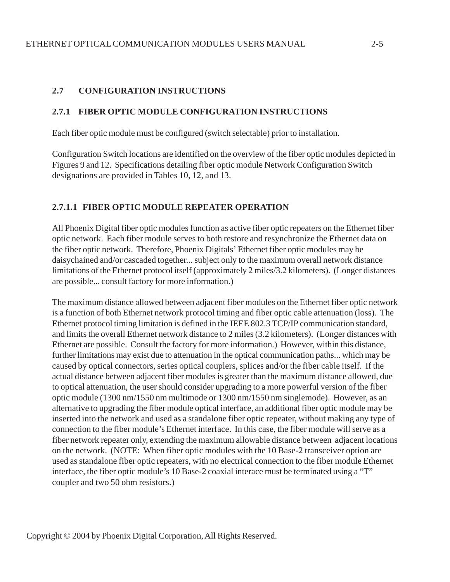# **2.7 CONFIGURATION INSTRUCTIONS**

#### **2.7.1 FIBER OPTIC MODULE CONFIGURATION INSTRUCTIONS**

Each fiber optic module must be configured (switch selectable) prior to installation.

Configuration Switch locations are identified on the overview of the fiber optic modules depicted in Figures 9 and 12. Specifications detailing fiber optic module Network Configuration Switch designations are provided in Tables 10, 12, and 13.

# **2.7.1.1 FIBER OPTIC MODULE REPEATER OPERATION**

All Phoenix Digital fiber optic modules function as active fiber optic repeaters on the Ethernet fiber optic network. Each fiber module serves to both restore and resynchronize the Ethernet data on the fiber optic network. Therefore, Phoenix Digitals' Ethernet fiber optic modules may be daisychained and/or cascaded together... subject only to the maximum overall network distance limitations of the Ethernet protocol itself (approximately 2 miles/3.2 kilometers). (Longer distances are possible... consult factory for more information.)

The maximum distance allowed between adjacent fiber modules on the Ethernet fiber optic network is a function of both Ethernet network protocol timing and fiber optic cable attenuation (loss). The Ethernet protocol timing limitation is defined in the IEEE 802.3 TCP/IP communication standard, and limits the overall Ethernet network distance to 2 miles (3.2 kilometers). (Longer distances with Ethernet are possible. Consult the factory for more information.) However, within this distance, further limitations may exist due to attenuation in the optical communication paths... which may be caused by optical connectors, series optical couplers, splices and/or the fiber cable itself. If the actual distance between adjacent fiber modules is greater than the maximum distance allowed, due to optical attenuation, the user should consider upgrading to a more powerful version of the fiber optic module (1300 nm/1550 nm multimode or 1300 nm/1550 nm singlemode). However, as an alternative to upgrading the fiber module optical interface, an additional fiber optic module may be inserted into the network and used as a standalone fiber optic repeater, without making any type of connection to the fiber module's Ethernet interface. In this case, the fiber module will serve as a fiber network repeater only, extending the maximum allowable distance between adjacent locations on the network. (NOTE: When fiber optic modules with the 10 Base-2 transceiver option are used as standalone fiber optic repeaters, with no electrical connection to the fiber module Ethernet interface, the fiber optic module's 10 Base-2 coaxial interace must be terminated using a "T" coupler and two 50 ohm resistors.)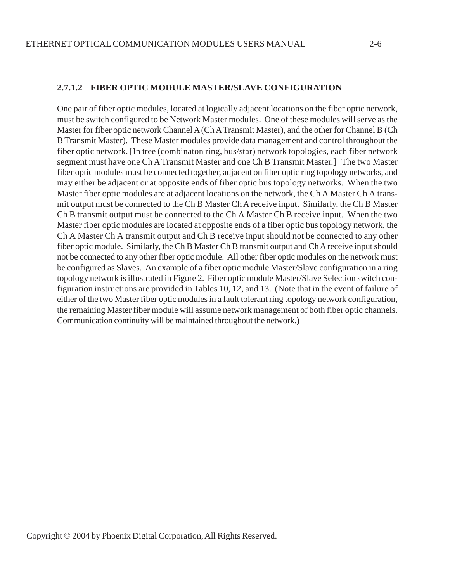#### **2.7.1.2 FIBER OPTIC MODULE MASTER/SLAVE CONFIGURATION**

One pair of fiber optic modules, located at logically adjacent locations on the fiber optic network, must be switch configured to be Network Master modules. One of these modules will serve as the Master for fiber optic network Channel A (Ch A Transmit Master), and the other for Channel B (Ch B Transmit Master). These Master modules provide data management and control throughout the fiber optic network. [In tree (combinaton ring, bus/star) network topologies, each fiber network segment must have one Ch A Transmit Master and one Ch B Transmit Master.] The two Master fiber optic modules must be connected together, adjacent on fiber optic ring topology networks, and may either be adjacent or at opposite ends of fiber optic bus topology networks. When the two Master fiber optic modules are at adjacent locations on the network, the Ch A Master Ch A transmit output must be connected to the Ch B Master Ch A receive input. Similarly, the Ch B Master Ch B transmit output must be connected to the Ch A Master Ch B receive input. When the two Master fiber optic modules are located at opposite ends of a fiber optic bus topology network, the Ch A Master Ch A transmit output and Ch B receive input should not be connected to any other fiber optic module. Similarly, the Ch B Master Ch B transmit output and Ch A receive input should not be connected to any other fiber optic module. All other fiber optic modules on the network must be configured as Slaves. An example of a fiber optic module Master/Slave configuration in a ring topology network is illustrated in Figure 2. Fiber optic module Master/Slave Selection switch configuration instructions are provided in Tables 10, 12, and 13. (Note that in the event of failure of either of the two Master fiber optic modules in a fault tolerant ring topology network configuration, the remaining Master fiber module will assume network management of both fiber optic channels. Communication continuity will be maintained throughout the network.)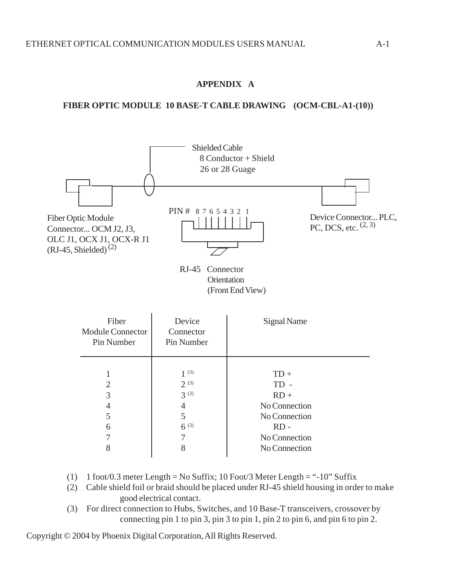# **APPENDIX A**

# **FIBER OPTIC MODULE 10 BASE-T CABLE DRAWING (OCM-CBL-A1-(10))**



| Fiber<br><b>Module Connector</b><br>Pin Number | Device<br>Connector<br>Pin Number                                    | Signal Name                                                                                             |
|------------------------------------------------|----------------------------------------------------------------------|---------------------------------------------------------------------------------------------------------|
| 2<br>3<br>4<br>5<br>6<br>7<br>8                | $1^{(3)}$<br>$2^{(3)}$<br>$3^{(3)}$<br>4<br>5<br>$6^{(3)}$<br>7<br>8 | $TD+$<br>$TD -$<br>$RD +$<br>No Connection<br>No Connection<br>$RD -$<br>No Connection<br>No Connection |

- (1) 1 foot/0.3 meter Length = No Suffix; 10 Foot/3 Meter Length = "-10" Suffix
- (2) Cable shield foil or braid should be placed under RJ-45 shield housing in order to make good electrical contact.
- (3) For direct connection to Hubs, Switches, and 10 Base-T transceivers, crossover by connecting pin 1 to pin 3, pin 3 to pin 1, pin 2 to pin 6, and pin 6 to pin 2.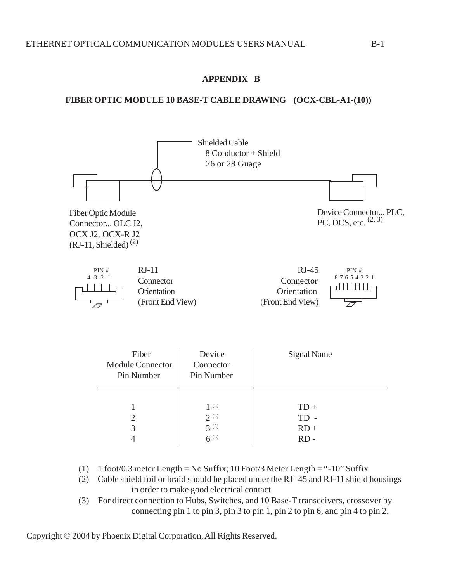# **APPENDIX B**

# **FIBER OPTIC MODULE 10 BASE-T CABLE DRAWING (OCX-CBL-A1-(10))**



| Fiber<br><b>Module Connector</b><br>Pin Number | Device<br>Connector<br>Pin Number           | Signal Name                          |
|------------------------------------------------|---------------------------------------------|--------------------------------------|
| 3                                              | 1(3)<br>$2^{(3)}$<br>$3^{(3)}$<br>$6^{(3)}$ | $TD +$<br>$TD -$<br>$RD +$<br>$RD -$ |

- (1) 1 foot/0.3 meter Length = No Suffix; 10 Foot/3 Meter Length = "-10" Suffix
- (2) Cable shield foil or braid should be placed under the RJ=45 and RJ-11 shield housings in order to make good electrical contact.
- (3) For direct connection to Hubs, Switches, and 10 Base-T transceivers, crossover by connecting pin 1 to pin 3, pin 3 to pin 1, pin 2 to pin 6, and pin 4 to pin 2.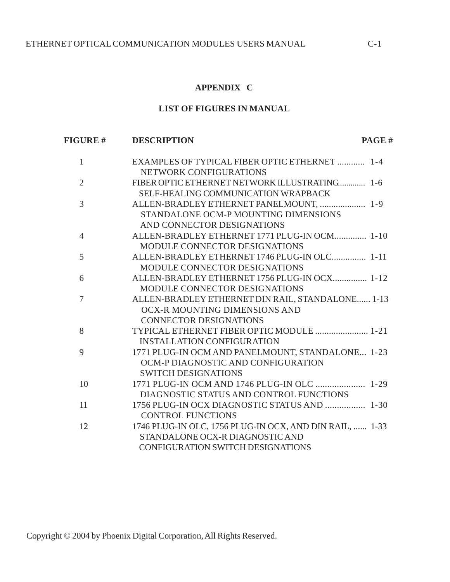#### **APPENDIX C**

#### **LIST OF FIGURES IN MANUAL**

 **FIGURE # DESCRIPTION PAGE #**

# 1 EXAMPLES OF TYPICAL FIBER OPTIC ETHERNET ............ 1-4 NETWORK CONFIGURATIONS 2 FIBER OPTIC ETHERNET NETWORK ILLUSTRATING............. 1-6 SELF-HEALING COMMUNICATION WRAPBACK 3 ALLEN-BRADLEY ETHERNET PANELMOUNT, .................... 1-9 STANDALONE OCM-P MOUNTING DIMENSIONS AND CONNECTOR DESIGNATIONS 4 ALLEN-BRADLEY ETHERNET 1771 PLUG-IN OCM.............. 1-10 MODULE CONNECTOR DESIGNATIONS 5 ALLEN-BRADLEY ETHERNET 1746 PLUG-IN OLC............... 1-11 MODULE CONNECTOR DESIGNATIONS 6 ALLEN-BRADLEY ETHERNET 1756 PLUG-IN OCX............... 1-12 MODULE CONNECTOR DESIGNATIONS 7 ALLEN-BRADLEY ETHERNET DIN RAIL, STANDALONE...... 1-13 OCX-R MOUNTING DIMENSIONS AND CONNECTOR DESIGNATIONS 8 TYPICAL ETHERNET FIBER OPTIC MODULE ....................... 1-21 INSTALLATION CONFIGURATION 9 1771 PLUG-IN OCM AND PANELMOUNT, STANDALONE... 1-23 OCM-P DIAGNOSTIC AND CONFIGURATION SWITCH DESIGNATIONS 10 1771 PLUG-IN OCM AND 1746 PLUG-IN OLC ..................... 1-29 DIAGNOSTIC STATUS AND CONTROL FUNCTIONS 11 1756 PLUG-IN OCX DIAGNOSTIC STATUS AND ................... 1-30 CONTROL FUNCTIONS 12 1746 PLUG-IN OLC, 1756 PLUG-IN OCX, AND DIN RAIL, ...... 1-33 STANDALONE OCX-R DIAGNOSTIC AND CONFIGURATION SWITCH DESIGNATIONS